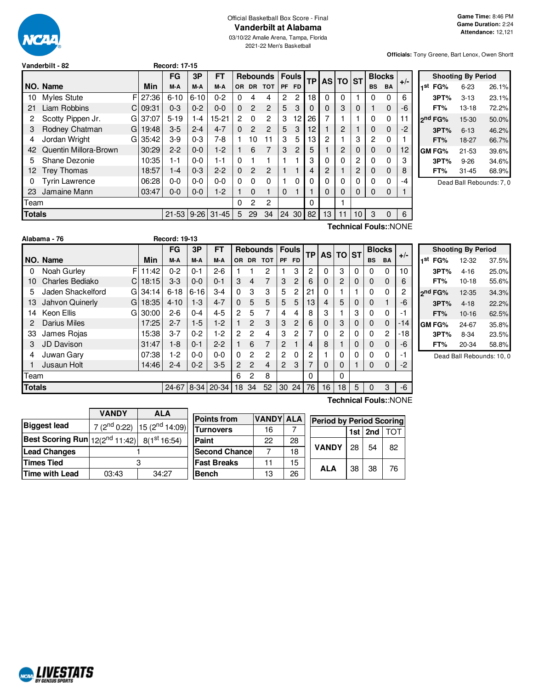

# Official Basketball Box Score - Final **Vanderbilt at Alabama**

03/10/22 Amalie Arena, Tampa, Florida 2021-22 Men's Basketball

**Officials:** Tony Greene, Bart Lenox, Owen Shortt

|  | Vanderbilt - 82 |  |
|--|-----------------|--|
|--|-----------------|--|

|               |                           |       | FG        | 3P       | <b>FT</b>    |     |           | <b>Rebounds</b> |           | <b>Fouls</b>   |          | ТP       | <b>AS TO</b> |    | <b>ST</b> | <b>Blocks</b> |    | $+/-$ |
|---------------|---------------------------|-------|-----------|----------|--------------|-----|-----------|-----------------|-----------|----------------|----------|----------|--------------|----|-----------|---------------|----|-------|
|               | NO. Name                  | Min   | M-A       | M-A      | M-A          | OR. | <b>DR</b> | <b>TOT</b>      | <b>PF</b> | <b>FD</b>      |          |          |              |    | <b>BS</b> | <b>BA</b>     |    |       |
| 10            | F<br>Myles Stute          | 27:36 | $6 - 10$  | $6 - 10$ | $0 - 2$      | 0   | 4         | 4               | 2         | 2              | 18       | 0        | 0            |    | 0         | 0             | 6  |       |
| 21            | <b>Liam Robbins</b><br>C. | 09:31 | $0 - 3$   | $0 - 2$  | $0 - 0$      | 0   | 2         | 2               | 5         | 3              | $\Omega$ | 0        | 3            | 0  |           | 0             | -6 |       |
| 2             | Scotty Pippen Jr.<br>G    | 37:07 | $5 - 19$  | 1-4      | $15 - 21$    | 2   | $\Omega$  | 2               | 3         | 12             | 26       | 7        |              |    | 0         | 0             |    |       |
| 3             | Rodney Chatman<br>G       | 19:48 | $3-5$     | $2 - 4$  | $4 - 7$      | 0   | 2         | $\overline{c}$  | 5         | 3              | 12       |          | 2            |    | 0         | 0             | -2 |       |
| 4             | Jordan Wright<br>G        | 35:42 | $3-9$     | $0 - 3$  | 7-8          |     | 10        | 11              | 3         | 5              | 13       | 2        |              | 3  | 2         | 0             |    |       |
| 42            | Quentin Millora-Brown     | 30:29 | $2 - 2$   | $0 - 0$  | $1-2$        |     | 6         | 7               | 3         | $\overline{c}$ | 5        |          | 2            | 0  | 0         | $\mathbf 0$   | 12 |       |
| 5             | Shane Dezonie             | 10:35 | $1 - 1$   | $0 - 0$  | $1 - 1$      | 0   |           |                 |           |                | 3        | 0        | 0            | 2  | 0         | 0             | 3  |       |
| 12            | <b>Trey Thomas</b>        | 18:57 | $1 - 4$   | $0 - 3$  | $2 - 2$      | 0   | 2         | $\overline{c}$  |           |                | 4        | 2        |              | 2  | 0         | 0             | 8  |       |
| 0             | Tyrin Lawrence            | 06:28 | $0-0$     | $0-0$    | $0 - 0$      | 0   | 0         | 0               |           | 0              | 0        | 0        | 0            | 0  | 0         | 0             | -4 |       |
| 23            | Jamaine Mann              | 03:47 | $0 - 0$   | $0 - 0$  | $1 - 2$      |     | 0         |                 | 0         |                |          | $\Omega$ | 0            | 0  | 0         | 0             |    |       |
| Team          |                           |       |           |          |              | 0   | 2         | 2               |           |                | 0        |          |              |    |           |               |    |       |
| <b>Totals</b> |                           |       | $21 - 53$ |          | $9-26$ 31-45 | 5   | 29        | 34              | 24        | 30             | 82       | 13       | 11           | 10 | 3         | 0             | 6  |       |
|               | Technical Fouls::NONE     |       |           |          |              |     |           |                 |           |                |          |          |              |    |           |               |    |       |

**Vanderbilt - 82 Record: 17-15**

|     |                     | <b>Shooting By Period</b> |       |
|-----|---------------------|---------------------------|-------|
| 1st | FG%                 | $6 - 23$                  | 26.1% |
|     | 3PT%                | $3 - 13$                  | 23.1% |
|     | FT%                 | 13-18                     | 72.2% |
|     | 2 <sup>nd</sup> FG% | 15-30                     | 50.0% |
|     | 3PT%                | $6 - 13$                  | 46.2% |
|     | FT%                 | 18-27                     | 66.7% |
|     | GM FG%              | $21 - 53$                 | 39.6% |
|     | 3PT%                | $9 - 26$                  | 34.6% |
|     | FT%                 | 31-45                     | 68.9% |
|     |                     |                           |       |

Dead Ball Rebounds: 7, 0

|               | Alabama - 76         |            | <b>Record: 19-13</b> |          |            |          |                |                 |                |                |    |           |              |          |           |               |       |
|---------------|----------------------|------------|----------------------|----------|------------|----------|----------------|-----------------|----------------|----------------|----|-----------|--------------|----------|-----------|---------------|-------|
|               |                      |            | <b>FG</b>            | 3P       | <b>FT</b>  |          |                | <b>Rebounds</b> |                | <b>Fouls</b>   | TР | <b>AS</b> | <b>TO ST</b> |          |           | <b>Blocks</b> |       |
|               | NO. Name             | Min        | M-A                  | M-A      | M-A        | 0R       | <b>DR</b>      | <b>TOT</b>      | PF             | FD.            |    |           |              |          | <b>BS</b> | <b>BA</b>     | $+/-$ |
| 0             | Noah Gurley          | F<br>11:42 | $0 - 2$              | $0 - 1$  | $2 - 6$    |          |                | 2               |                | 3              | 2  | 0         | 3            | $\Omega$ | 0         | $\Omega$      | 10    |
| 10            | Charles Bediako      | 18:15<br>C | $3-3$                | $0 - 0$  | $0 - 1$    | 3        | 4              | 7               | 3              | 2              | 6  | 0         | 2            | 0        | $\Omega$  | $\mathbf 0$   | 6     |
| 5             | Jaden Shackelford    | 34:14<br>G | $6 - 18$             | $6 - 16$ | $3 - 4$    | $\Omega$ | 3              | 3               | 5              | 2              | 21 | 0         |              |          | $\Omega$  | 0             | 2     |
| 13            | Jahvon Quinerly<br>G | 18:35      | $4 - 10$             | $1-3$    | $4 - 7$    | $\Omega$ | 5              | 5               | 5              | 5              | 13 | 4         | 5            | 0        | $\Omega$  |               | -6    |
| 14            | Keon Ellis<br>G      | 30:00      | $2-6$                | $0 - 4$  | $4 - 5$    | 2        | 5              | 7               | 4              | 4              | 8  | 3         |              | 3        | $\Omega$  | $\Omega$      | -1    |
| 2             | Darius Miles         | 17:25      | $2 - 7$              | $1-5$    | $1-2$      |          | 2              | 3               | 3              | $\overline{2}$ | 6  | 0         | 3            | 0        | $\Omega$  | $\mathbf 0$   | $-14$ |
| 33            | James Rojas          | 15:38      | $3 - 7$              | $0 - 2$  | $1-2$      | 2        | 2              | 4               | 3              | 2              | 7  | 0         | 2            | 0        | 0         | 2             | -18   |
| 3             | <b>JD Davison</b>    | 31:47      | $1-8$                | $0 - 1$  | $2 - 2$    |          | 6              | 7               | $\overline{2}$ |                | 4  | 8         |              | 0        | $\Omega$  | $\mathbf 0$   | -6    |
| 4             | Juwan Gary           | 07:38      | 1-2                  | $0 - 0$  | $0 - 0$    | 0        | $\mathfrak{p}$ | 2               | $\overline{2}$ | 0              | 2  |           | 0            | 0        | 0         | $\Omega$      | -1    |
|               | Jusaun Holt          | 14:46      | $2 - 4$              | $0 - 2$  | $3-5$      | 2        | 2              | 4               | $\overline{2}$ | 3              | 7  | $\Omega$  | 0            |          | $\Omega$  | $\mathbf 0$   | $-2$  |
| Team          |                      |            |                      |          |            | 6        | $\overline{2}$ | 8               |                |                | 0  |           | 0            |          |           |               |       |
| <b>Totals</b> |                      |            | $24 - 67$            |          | 8-34 20-34 | 18       | 34             | 52              | 30             | 24             | 76 | 16        | 18           | 5        | $\Omega$  | 3             | -6    |

|     |         | <b>Shooting By Period</b> |       |
|-----|---------|---------------------------|-------|
| 1st | FG%     | 12-32                     | 37.5% |
|     | 3PT%    | $4 - 16$                  | 25.0% |
|     | FT%     | $10-18$                   | 55.6% |
|     | 2nd FG% | 12-35                     | 34.3% |
|     | 3PT%    | $4 - 18$                  | 22.2% |
|     | FT%     | $10 - 16$                 | 62.5% |
|     | GM FG%  | 24-67                     | 35.8% |
|     | 3PT%    | $8 - 34$                  | 23.5% |
|     | FT%     | 20-34                     | 58.8% |

Dead Ball Rebounds: 10, 0

|                                                               | <b>VANDY</b> | <b>ALA</b>                                          |  |                      |              |                  |    |  |
|---------------------------------------------------------------|--------------|-----------------------------------------------------|--|----------------------|--------------|------------------|----|--|
|                                                               |              |                                                     |  | <b>Points from</b>   | <b>VANDY</b> |                  |    |  |
| Biggest lead                                                  |              | 7 (2 <sup>nd</sup> 0:22) 15 (2 <sup>nd</sup> 14:09) |  |                      |              |                  |    |  |
|                                                               |              |                                                     |  |                      |              | <b>Turnovers</b> | 16 |  |
| Best Scoring Run $ 12(2^{nd}11:42) $ 8(1 <sup>st</sup> 16:54) |              |                                                     |  | Paint                | 22           |                  |    |  |
| <b>Lead Changes</b>                                           |              |                                                     |  | <b>Second Chance</b> |              |                  |    |  |
| Times Tied                                                    |              |                                                     |  | <b>Fast Breaks</b>   |              |                  |    |  |
| Time with Lead                                                | 03:43        | 34:27                                               |  | <b>Bench</b>         | 13           |                  |    |  |
|                                                               |              |                                                     |  |                      |              |                  |    |  |

h

г

**Technical Fouls:**:NONE

|     | <b>Points from</b>    | <b>VANDY ALA</b> |    |              | <b>Period by Period Scoring</b> |         |    |  |  |
|-----|-----------------------|------------------|----|--------------|---------------------------------|---------|----|--|--|
| ا(( | <b>Turnovers</b>      | 16               |    |              |                                 | 1st 2nd |    |  |  |
|     | Paint                 | 22               | 28 |              |                                 |         |    |  |  |
|     | <b>Second Chancel</b> |                  | 18 | <b>VANDY</b> | 28                              | 54      | 82 |  |  |
|     | <b>Fast Breaks</b>    | 11               | 15 |              |                                 |         |    |  |  |
|     | <b>Bench</b>          | 13               | 26 | <b>ALA</b>   | 38                              | 38      | 76 |  |  |

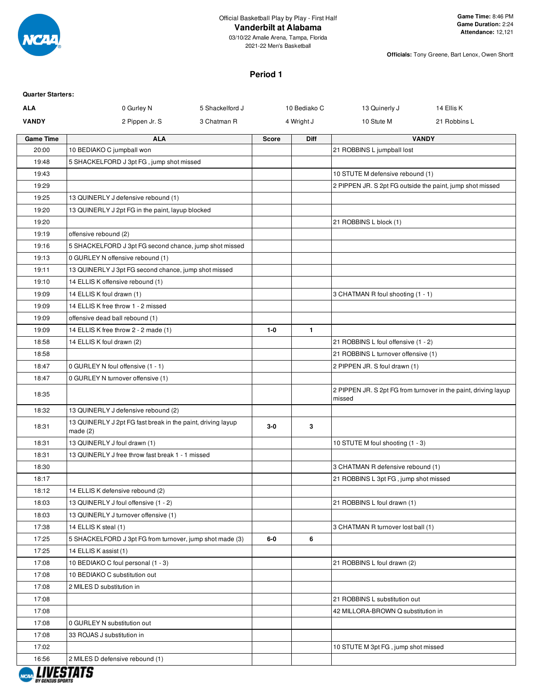

**Officials:** Tony Greene, Bart Lenox, Owen Shortt

# **Period 1**

| <b>Quarter Starters:</b> |                                                                           |                 |              |              |                                                           |                                                                 |
|--------------------------|---------------------------------------------------------------------------|-----------------|--------------|--------------|-----------------------------------------------------------|-----------------------------------------------------------------|
| ALA                      | 0 Gurley N                                                                | 5 Shackelford J |              | 10 Bediako C | 13 Quinerly J                                             | 14 Ellis K                                                      |
| <b>VANDY</b>             | 2 Pippen Jr. S                                                            | 3 Chatman R     |              | 4 Wright J   | 10 Stute M                                                | 21 Robbins L                                                    |
| <b>Game Time</b>         | <b>ALA</b>                                                                |                 | <b>Score</b> | <b>Diff</b>  |                                                           | <b>VANDY</b>                                                    |
| 20:00                    | 10 BEDIAKO C jumpball won                                                 |                 |              |              | 21 ROBBINS L jumpball lost                                |                                                                 |
| 19:48                    | 5 SHACKELFORD J 3pt FG, jump shot missed                                  |                 |              |              |                                                           |                                                                 |
| 19:43                    |                                                                           |                 |              |              | 10 STUTE M defensive rebound (1)                          |                                                                 |
| 19:29                    |                                                                           |                 |              |              | 2 PIPPEN JR. S 2pt FG outside the paint, jump shot missed |                                                                 |
| 19:25                    | 13 QUINERLY J defensive rebound (1)                                       |                 |              |              |                                                           |                                                                 |
| 19:20                    | 13 QUINERLY J 2pt FG in the paint, layup blocked                          |                 |              |              |                                                           |                                                                 |
| 19:20                    |                                                                           |                 |              |              | 21 ROBBINS L block (1)                                    |                                                                 |
| 19:19                    | offensive rebound (2)                                                     |                 |              |              |                                                           |                                                                 |
| 19:16                    | 5 SHACKELFORD J 3pt FG second chance, jump shot missed                    |                 |              |              |                                                           |                                                                 |
| 19:13                    | 0 GURLEY N offensive rebound (1)                                          |                 |              |              |                                                           |                                                                 |
| 19:11                    | 13 QUINERLY J 3pt FG second chance, jump shot missed                      |                 |              |              |                                                           |                                                                 |
| 19:10                    | 14 ELLIS K offensive rebound (1)                                          |                 |              |              |                                                           |                                                                 |
| 19:09                    | 14 ELLIS K foul drawn (1)                                                 |                 |              |              | 3 CHATMAN R foul shooting (1 - 1)                         |                                                                 |
| 19:09                    | 14 ELLIS K free throw 1 - 2 missed                                        |                 |              |              |                                                           |                                                                 |
| 19:09                    | offensive dead ball rebound (1)                                           |                 |              |              |                                                           |                                                                 |
| 19:09                    | 14 ELLIS K free throw 2 - 2 made (1)                                      |                 | $1 - 0$      | $\mathbf{1}$ |                                                           |                                                                 |
| 18:58                    | 14 ELLIS K foul drawn (2)                                                 |                 |              |              | 21 ROBBINS L foul offensive (1 - 2)                       |                                                                 |
| 18:58                    |                                                                           |                 |              |              | 21 ROBBINS L turnover offensive (1)                       |                                                                 |
| 18:47                    | 0 GURLEY N foul offensive (1 - 1)                                         |                 |              |              | 2 PIPPEN JR. S foul drawn (1)                             |                                                                 |
| 18:47                    | 0 GURLEY N turnover offensive (1)                                         |                 |              |              |                                                           |                                                                 |
| 18:35                    |                                                                           |                 |              |              | missed                                                    | 2 PIPPEN JR. S 2pt FG from turnover in the paint, driving layup |
| 18:32                    | 13 QUINERLY J defensive rebound (2)                                       |                 |              |              |                                                           |                                                                 |
| 18:31                    | 13 QUINERLY J 2pt FG fast break in the paint, driving layup<br>made $(2)$ |                 | $3-0$        | 3            |                                                           |                                                                 |
| 18:31                    | 13 QUINERLY J foul drawn (1)                                              |                 |              |              | 10 STUTE M foul shooting (1 - 3)                          |                                                                 |
| 18:31                    | 13 QUINERLY J free throw fast break 1 - 1 missed                          |                 |              |              |                                                           |                                                                 |
| 18:30                    |                                                                           |                 |              |              | 3 CHATMAN R defensive rebound (1)                         |                                                                 |
| 18:17                    |                                                                           |                 |              |              | 21 ROBBINS L 3pt FG, jump shot missed                     |                                                                 |
| 18:12                    | 14 ELLIS K defensive rebound (2)                                          |                 |              |              |                                                           |                                                                 |
| 18:03                    | 13 QUINERLY J foul offensive (1 - 2)                                      |                 |              |              | 21 ROBBINS L foul drawn (1)                               |                                                                 |
| 18:03                    | 13 QUINERLY J turnover offensive (1)                                      |                 |              |              |                                                           |                                                                 |
| 17:38                    | 14 ELLIS K steal (1)                                                      |                 |              |              | 3 CHATMAN R turnover lost ball (1)                        |                                                                 |
| 17:25                    | 5 SHACKELFORD J 3pt FG from turnover, jump shot made (3)                  |                 | $6-0$        | 6            |                                                           |                                                                 |
| 17:25                    | 14 ELLIS K assist (1)                                                     |                 |              |              |                                                           |                                                                 |
| 17:08                    | 10 BEDIAKO C foul personal (1 - 3)                                        |                 |              |              | 21 ROBBINS L foul drawn (2)                               |                                                                 |
| 17:08                    | 10 BEDIAKO C substitution out                                             |                 |              |              |                                                           |                                                                 |
| 17:08                    | 2 MILES D substitution in                                                 |                 |              |              |                                                           |                                                                 |
| 17:08                    |                                                                           |                 |              |              | 21 ROBBINS L substitution out                             |                                                                 |
| 17:08                    |                                                                           |                 |              |              | 42 MILLORA-BROWN Q substitution in                        |                                                                 |
| 17:08                    | 0 GURLEY N substitution out                                               |                 |              |              |                                                           |                                                                 |
| 17:08                    | 33 ROJAS J substitution in                                                |                 |              |              |                                                           |                                                                 |
| 17:02                    |                                                                           |                 |              |              | 10 STUTE M 3pt FG, jump shot missed                       |                                                                 |
| 16:56                    | 2 MILES D defensive rebound (1)                                           |                 |              |              |                                                           |                                                                 |

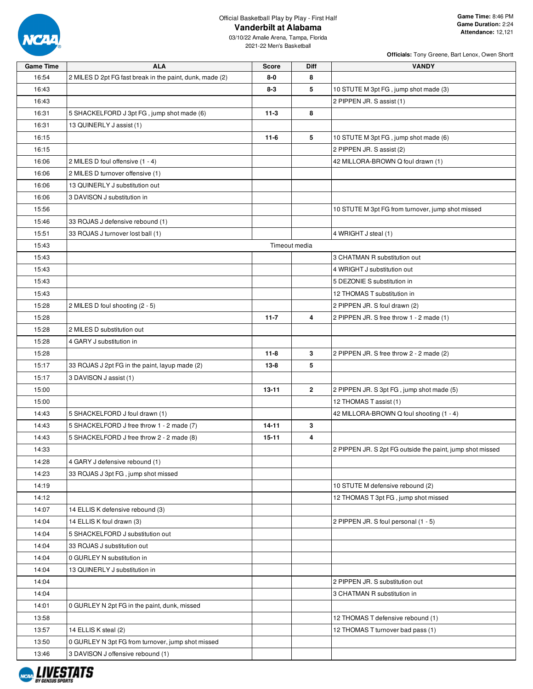

| <b>Game Time</b> | <b>ALA</b>                                               | <b>Score</b>  | <b>Diff</b>    | VANDY                                                     |
|------------------|----------------------------------------------------------|---------------|----------------|-----------------------------------------------------------|
| 16:54            | 2 MILES D 2pt FG fast break in the paint, dunk, made (2) | 8-0           | 8              |                                                           |
| 16:43            |                                                          | $8-3$         | 5              | 10 STUTE M 3pt FG, jump shot made (3)                     |
| 16:43            |                                                          |               |                | 2 PIPPEN JR. S assist (1)                                 |
| 16:31            | 5 SHACKELFORD J 3pt FG, jump shot made (6)               | $11-3$        | 8              |                                                           |
| 16:31            | 13 QUINERLY J assist (1)                                 |               |                |                                                           |
| 16:15            |                                                          | $11-6$        | 5              | 10 STUTE M 3pt FG, jump shot made (6)                     |
| 16:15            |                                                          |               |                | 2 PIPPEN JR. S assist (2)                                 |
| 16:06            | 2 MILES D foul offensive (1 - 4)                         |               |                | 42 MILLORA-BROWN Q foul drawn (1)                         |
| 16:06            | 2 MILES D turnover offensive (1)                         |               |                |                                                           |
| 16:06            | 13 QUINERLY J substitution out                           |               |                |                                                           |
| 16:06            | 3 DAVISON J substitution in                              |               |                |                                                           |
| 15:56            |                                                          |               |                | 10 STUTE M 3pt FG from turnover, jump shot missed         |
| 15:46            | 33 ROJAS J defensive rebound (1)                         |               |                |                                                           |
| 15:51            | 33 ROJAS J turnover lost ball (1)                        |               |                | 4 WRIGHT J steal (1)                                      |
| 15:43            |                                                          | Timeout media |                |                                                           |
| 15:43            |                                                          |               |                | 3 CHATMAN R substitution out                              |
| 15:43            |                                                          |               |                | 4 WRIGHT J substitution out                               |
| 15:43            |                                                          |               |                | 5 DEZONIE S substitution in                               |
| 15:43            |                                                          |               |                | 12 THOMAS T substitution in                               |
| 15:28            | 2 MILES D foul shooting (2 - 5)                          |               |                | 2 PIPPEN JR. S foul drawn (2)                             |
| 15:28            |                                                          | $11 - 7$      | 4              | 2 PIPPEN JR. S free throw 1 - 2 made (1)                  |
| 15:28            | 2 MILES D substitution out                               |               |                |                                                           |
| 15:28            | 4 GARY J substitution in                                 |               |                |                                                           |
| 15:28            |                                                          | $11 - 8$      | 3              | 2 PIPPEN JR. S free throw 2 - 2 made (2)                  |
| 15:17            | 33 ROJAS J 2pt FG in the paint, layup made (2)           | $13 - 8$      | 5              |                                                           |
| 15:17            | 3 DAVISON J assist (1)                                   |               |                |                                                           |
| 15:00            |                                                          | $13 - 11$     | $\overline{2}$ | 2 PIPPEN JR. S 3pt FG, jump shot made (5)                 |
| 15:00            |                                                          |               |                | 12 THOMAS T assist (1)                                    |
| 14:43            | 5 SHACKELFORD J foul drawn (1)                           |               |                | 42 MILLORA-BROWN Q foul shooting (1 - 4)                  |
| 14:43            | 5 SHACKELFORD J free throw 1 - 2 made (7)                | $14 - 11$     | 3              |                                                           |
| 14:43            | 5 SHACKELFORD J free throw 2 - 2 made (8)                | $15 - 11$     | 4              |                                                           |
| 14:33            |                                                          |               |                | 2 PIPPEN JR. S 2pt FG outside the paint, jump shot missed |
| 14:28            | 4 GARY J defensive rebound (1)                           |               |                |                                                           |
| 14:23            | 33 ROJAS J 3pt FG, jump shot missed                      |               |                |                                                           |
| 14:19            |                                                          |               |                | 10 STUTE M defensive rebound (2)                          |
| 14:12            |                                                          |               |                | 12 THOMAS T 3pt FG, jump shot missed                      |
| 14:07            | 14 ELLIS K defensive rebound (3)                         |               |                |                                                           |
| 14:04            | 14 ELLIS K foul drawn (3)                                |               |                | 2 PIPPEN JR. S foul personal (1 - 5)                      |
| 14:04            | 5 SHACKELFORD J substitution out                         |               |                |                                                           |
| 14:04            | 33 ROJAS J substitution out                              |               |                |                                                           |
| 14:04            | 0 GURLEY N substitution in                               |               |                |                                                           |
| 14:04            | 13 QUINERLY J substitution in                            |               |                |                                                           |
| 14:04            |                                                          |               |                | 2 PIPPEN JR. S substitution out                           |
| 14:04            |                                                          |               |                | 3 CHATMAN R substitution in                               |
| 14:01            | 0 GURLEY N 2pt FG in the paint, dunk, missed             |               |                |                                                           |
| 13:58            |                                                          |               |                | 12 THOMAS T defensive rebound (1)                         |
| 13:57            | 14 ELLIS K steal (2)                                     |               |                | 12 THOMAS T turnover bad pass (1)                         |
| 13:50            | 0 GURLEY N 3pt FG from turnover, jump shot missed        |               |                |                                                           |
| 13:46            | 3 DAVISON J offensive rebound (1)                        |               |                |                                                           |

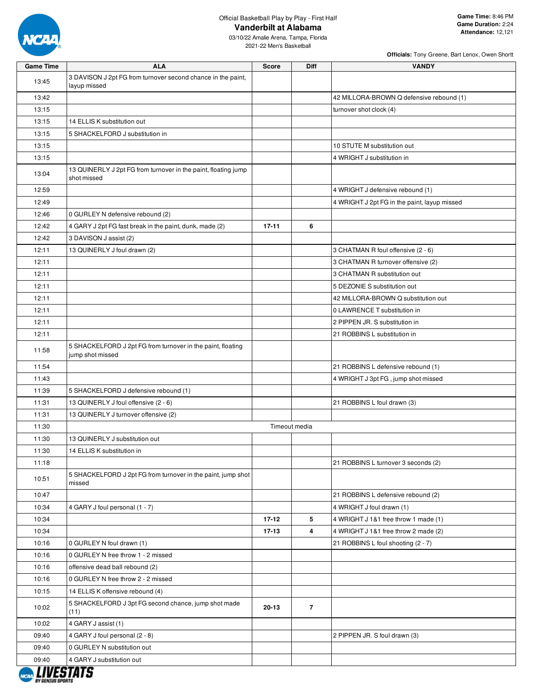

03/10/22 Amalie Arena, Tampa, Florida 2021-22 Men's Basketball

| <b>Game Time</b> | <b>ALA</b>                                                                      | <b>Score</b> | Diff           | <b>VANDY</b>                                 |
|------------------|---------------------------------------------------------------------------------|--------------|----------------|----------------------------------------------|
| 13:45            | 3 DAVISON J 2pt FG from turnover second chance in the paint,<br>layup missed    |              |                |                                              |
| 13:42            |                                                                                 |              |                | 42 MILLORA-BROWN Q defensive rebound (1)     |
| 13:15            |                                                                                 |              |                | turnover shot clock (4)                      |
| 13:15            | 14 ELLIS K substitution out                                                     |              |                |                                              |
| 13:15            | 5 SHACKELFORD J substitution in                                                 |              |                |                                              |
| 13:15            |                                                                                 |              |                | 10 STUTE M substitution out                  |
| 13:15            |                                                                                 |              |                | 4 WRIGHT J substitution in                   |
| 13:04            | 13 QUINERLY J 2pt FG from turnover in the paint, floating jump<br>shot missed   |              |                |                                              |
| 12:59            |                                                                                 |              |                | 4 WRIGHT J defensive rebound (1)             |
| 12:49            |                                                                                 |              |                | 4 WRIGHT J 2pt FG in the paint, layup missed |
| 12:46            | 0 GURLEY N defensive rebound (2)                                                |              |                |                                              |
| 12:42            | 4 GARY J 2pt FG fast break in the paint, dunk, made (2)                         | $17 - 11$    | 6              |                                              |
| 12:42            | 3 DAVISON J assist (2)                                                          |              |                |                                              |
| 12:11            | 13 QUINERLY J foul drawn (2)                                                    |              |                | 3 CHATMAN R foul offensive (2 - 6)           |
| 12:11            |                                                                                 |              |                | 3 CHATMAN R turnover offensive (2)           |
| 12:11            |                                                                                 |              |                | 3 CHATMAN R substitution out                 |
| 12:11            |                                                                                 |              |                | 5 DEZONIE S substitution out                 |
| 12:11            |                                                                                 |              |                | 42 MILLORA-BROWN Q substitution out          |
| 12:11            |                                                                                 |              |                | 0 LAWRENCE T substitution in                 |
| 12:11            |                                                                                 |              |                | 2 PIPPEN JR. S substitution in               |
| 12:11            |                                                                                 |              |                | 21 ROBBINS L substitution in                 |
| 11:58            | 5 SHACKELFORD J 2pt FG from turnover in the paint, floating<br>jump shot missed |              |                |                                              |
| 11:54            |                                                                                 |              |                | 21 ROBBINS L defensive rebound (1)           |
| 11:43            |                                                                                 |              |                | 4 WRIGHT J 3pt FG, jump shot missed          |
| 11:39            | 5 SHACKELFORD J defensive rebound (1)                                           |              |                |                                              |
| 11:31            | 13 QUINERLY J foul offensive (2 - 6)                                            |              |                | 21 ROBBINS L foul drawn (3)                  |
| 11:31            | 13 QUINERLY J turnover offensive (2)                                            |              |                |                                              |
| 11:30            |                                                                                 |              | Timeout media  |                                              |
| 11:30            | 13 QUINERLY J substitution out                                                  |              |                |                                              |
| 11:30            | 14 ELLIS K substitution in                                                      |              |                |                                              |
| 11:18            |                                                                                 |              |                | 21 ROBBINS L turnover 3 seconds (2)          |
| 10:51            | 5 SHACKELFORD J 2pt FG from turnover in the paint, jump shot<br>missed          |              |                |                                              |
| 10:47            |                                                                                 |              |                | 21 ROBBINS L defensive rebound (2)           |
| 10:34            | 4 GARY J foul personal (1 - 7)                                                  |              |                | 4 WRIGHT J foul drawn (1)                    |
| 10:34            |                                                                                 | $17 - 12$    | 5              | 4 WRIGHT J 1&1 free throw 1 made (1)         |
| 10:34            |                                                                                 | $17 - 13$    | 4              | 4 WRIGHT J 1&1 free throw 2 made (2)         |
| 10:16            | 0 GURLEY N foul drawn (1)                                                       |              |                | 21 ROBBINS L foul shooting (2 - 7)           |
| 10:16            | 0 GURLEY N free throw 1 - 2 missed                                              |              |                |                                              |
| 10:16            | offensive dead ball rebound (2)                                                 |              |                |                                              |
| 10:16            | 0 GURLEY N free throw 2 - 2 missed                                              |              |                |                                              |
| 10:15            | 14 ELLIS K offensive rebound (4)                                                |              |                |                                              |
| 10:02            | 5 SHACKELFORD J 3pt FG second chance, jump shot made<br>(11)                    | $20 - 13$    | $\overline{7}$ |                                              |
| 10:02            | 4 GARY J assist (1)                                                             |              |                |                                              |
| 09:40            | 4 GARY J foul personal (2 - 8)                                                  |              |                | 2 PIPPEN JR. S foul drawn (3)                |
| 09:40            | 0 GURLEY N substitution out                                                     |              |                |                                              |
| 09:40            | 4 GARY J substitution out                                                       |              |                |                                              |

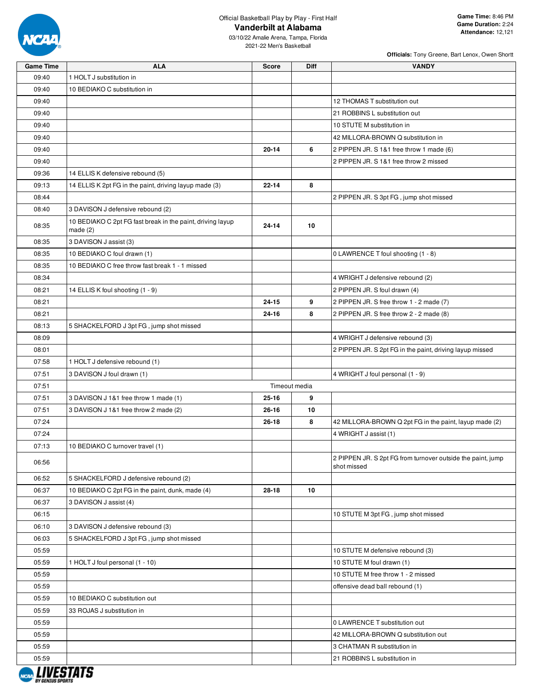

03/10/22 Amalie Arena, Tampa, Florida 2021-22 Men's Basketball

| <b>Game Time</b> | <b>ALA</b>                                                               | <b>Score</b> | Diff          | <b>VANDY</b>                                                               |
|------------------|--------------------------------------------------------------------------|--------------|---------------|----------------------------------------------------------------------------|
| 09:40            | 1 HOLT J substitution in                                                 |              |               |                                                                            |
| 09:40            | 10 BEDIAKO C substitution in                                             |              |               |                                                                            |
| 09:40            |                                                                          |              |               | 12 THOMAS T substitution out                                               |
| 09:40            |                                                                          |              |               | 21 ROBBINS L substitution out                                              |
| 09:40            |                                                                          |              |               | 10 STUTE M substitution in                                                 |
| 09:40            |                                                                          |              |               | 42 MILLORA-BROWN Q substitution in                                         |
| 09:40            |                                                                          | $20 - 14$    | 6             | 2 PIPPEN JR. S 1&1 free throw 1 made (6)                                   |
| 09:40            |                                                                          |              |               | 2 PIPPEN JR. S 1&1 free throw 2 missed                                     |
| 09:36            | 14 ELLIS K defensive rebound (5)                                         |              |               |                                                                            |
| 09:13            | 14 ELLIS K 2pt FG in the paint, driving layup made (3)                   | 22-14        | 8             |                                                                            |
| 08:44            |                                                                          |              |               | 2 PIPPEN JR. S 3pt FG, jump shot missed                                    |
| 08:40            | 3 DAVISON J defensive rebound (2)                                        |              |               |                                                                            |
| 08:35            | 10 BEDIAKO C 2pt FG fast break in the paint, driving layup<br>made $(2)$ | 24-14        | 10            |                                                                            |
| 08:35            | 3 DAVISON J assist (3)                                                   |              |               |                                                                            |
| 08:35            | 10 BEDIAKO C foul drawn (1)                                              |              |               | 0 LAWRENCE T foul shooting (1 - 8)                                         |
| 08:35            | 10 BEDIAKO C free throw fast break 1 - 1 missed                          |              |               |                                                                            |
| 08:34            |                                                                          |              |               | 4 WRIGHT J defensive rebound (2)                                           |
| 08:21            | 14 ELLIS K foul shooting (1 - 9)                                         |              |               | 2 PIPPEN JR. S foul drawn (4)                                              |
| 08:21            |                                                                          | 24-15        | 9             | 2 PIPPEN JR. S free throw 1 - 2 made (7)                                   |
| 08:21            |                                                                          | $24 - 16$    | 8             | 2 PIPPEN JR. S free throw 2 - 2 made (8)                                   |
| 08:13            | 5 SHACKELFORD J 3pt FG, jump shot missed                                 |              |               |                                                                            |
| 08:09            |                                                                          |              |               | 4 WRIGHT J defensive rebound (3)                                           |
| 08:01            |                                                                          |              |               | 2 PIPPEN JR. S 2pt FG in the paint, driving layup missed                   |
| 07:58            | 1 HOLT J defensive rebound (1)                                           |              |               |                                                                            |
| 07:51            | 3 DAVISON J foul drawn (1)                                               |              |               | 4 WRIGHT J foul personal (1 - 9)                                           |
| 07:51            |                                                                          |              | Timeout media |                                                                            |
| 07:51            | 3 DAVISON J 1&1 free throw 1 made (1)                                    | $25 - 16$    | 9             |                                                                            |
| 07:51            | 3 DAVISON J 1&1 free throw 2 made (2)                                    | 26-16        | 10            |                                                                            |
| 07:24            |                                                                          | 26-18        | 8             | 42 MILLORA-BROWN Q 2pt FG in the paint, layup made (2)                     |
| 07:24            |                                                                          |              |               | 4 WRIGHT J assist (1)                                                      |
| 07:13            | 10 BEDIAKO C turnover travel (1)                                         |              |               |                                                                            |
| 06:56            |                                                                          |              |               | 2 PIPPEN JR. S 2pt FG from turnover outside the paint, jump<br>shot missed |
| 06:52            | 5 SHACKELFORD J defensive rebound (2)                                    |              |               |                                                                            |
| 06:37            | 10 BEDIAKO C 2pt FG in the paint, dunk, made (4)                         | 28-18        | 10            |                                                                            |
| 06:37            | 3 DAVISON J assist (4)                                                   |              |               |                                                                            |
| 06:15            |                                                                          |              |               | 10 STUTE M 3pt FG, jump shot missed                                        |
| 06:10            | 3 DAVISON J defensive rebound (3)                                        |              |               |                                                                            |
| 06:03            | 5 SHACKELFORD J 3pt FG, jump shot missed                                 |              |               |                                                                            |
| 05:59            |                                                                          |              |               | 10 STUTE M defensive rebound (3)                                           |
| 05:59            | 1 HOLT J foul personal (1 - 10)                                          |              |               | 10 STUTE M foul drawn (1)                                                  |
| 05:59            |                                                                          |              |               | 10 STUTE M free throw 1 - 2 missed                                         |
| 05:59            |                                                                          |              |               | offensive dead ball rebound (1)                                            |
| 05:59            | 10 BEDIAKO C substitution out                                            |              |               |                                                                            |
| 05:59            | 33 ROJAS J substitution in                                               |              |               |                                                                            |
| 05:59            |                                                                          |              |               | 0 LAWRENCE T substitution out                                              |
| 05:59            |                                                                          |              |               | 42 MILLORA-BROWN Q substitution out                                        |
| 05:59            |                                                                          |              |               | 3 CHATMAN R substitution in                                                |
| 05:59            | , ,,,,,,,,,                                                              |              |               | 21 ROBBINS L substitution in                                               |

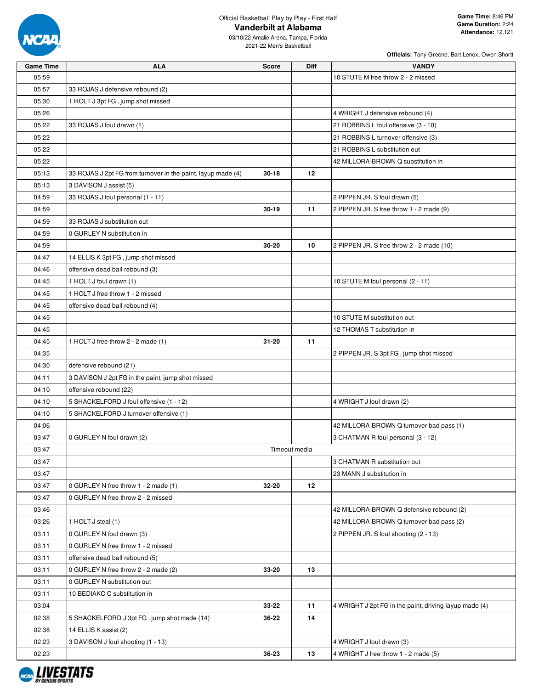

03/10/22 Amalie Arena, Tampa, Florida 2021-22 Men's Basketball

| <b>Game Time</b> | <b>ALA</b>                                                   | <b>Score</b> | Diff          | <b>VANDY</b>                                           |
|------------------|--------------------------------------------------------------|--------------|---------------|--------------------------------------------------------|
| 05:59            |                                                              |              |               | 10 STUTE M free throw 2 - 2 missed                     |
| 05:57            | 33 ROJAS J defensive rebound (2)                             |              |               |                                                        |
| 05:30            | 1 HOLT J 3pt FG, jump shot missed                            |              |               |                                                        |
| 05:26            |                                                              |              |               | 4 WRIGHT J defensive rebound (4)                       |
| 05:22            | 33 ROJAS J foul drawn (1)                                    |              |               | 21 ROBBINS L foul offensive (3 - 10)                   |
| 05:22            |                                                              |              |               | 21 ROBBINS L turnover offensive (3)                    |
| 05:22            |                                                              |              |               | 21 ROBBINS L substitution out                          |
| 05:22            |                                                              |              |               | 42 MILLORA-BROWN Q substitution in                     |
| 05:13            | 33 ROJAS J 2pt FG from turnover in the paint, layup made (4) | $30 - 18$    | $12 \,$       |                                                        |
| 05:13            | 3 DAVISON J assist (5)                                       |              |               |                                                        |
| 04:59            | 33 ROJAS J foul personal (1 - 11)                            |              |               | 2 PIPPEN JR. S foul drawn (5)                          |
| 04:59            |                                                              | $30 - 19$    | 11            | 2 PIPPEN JR. S free throw 1 - 2 made (9)               |
| 04:59            | 33 ROJAS J substitution out                                  |              |               |                                                        |
| 04:59            | 0 GURLEY N substitution in                                   |              |               |                                                        |
| 04:59            |                                                              | 30-20        | 10            | 2 PIPPEN JR. S free throw 2 - 2 made (10)              |
| 04:47            | 14 ELLIS K 3pt FG, jump shot missed                          |              |               |                                                        |
| 04:46            | offensive dead ball rebound (3)                              |              |               |                                                        |
| 04:45            | 1 HOLT J foul drawn (1)                                      |              |               | 10 STUTE M foul personal (2 - 11)                      |
| 04:45            | 1 HOLT J free throw 1 - 2 missed                             |              |               |                                                        |
| 04:45            | offensive dead ball rebound (4)                              |              |               |                                                        |
| 04:45            |                                                              |              |               | 10 STUTE M substitution out                            |
| 04:45            |                                                              |              |               | 12 THOMAS T substitution in                            |
| 04:45            | 1 HOLT J free throw 2 - 2 made (1)                           | $31 - 20$    | 11            |                                                        |
| 04:35            |                                                              |              |               | 2 PIPPEN JR. S 3pt FG, jump shot missed                |
| 04:30            | defensive rebound (21)                                       |              |               |                                                        |
| 04:11            | 3 DAVISON J 2pt FG in the paint, jump shot missed            |              |               |                                                        |
| 04:10            | offensive rebound (22)                                       |              |               |                                                        |
| 04:10            | 5 SHACKELFORD J foul offensive (1 - 12)                      |              |               | 4 WRIGHT J foul drawn (2)                              |
| 04:10            | 5 SHACKELFORD J turnover offensive (1)                       |              |               |                                                        |
| 04:06            |                                                              |              |               | 42 MILLORA-BROWN Q turnover bad pass (1)               |
| 03:47            | 0 GURLEY N foul drawn (2)                                    |              |               | 3 CHATMAN R foul personal (3 - 12)                     |
| 03:47            |                                                              |              | Timeout media |                                                        |
| 03:47            |                                                              |              |               | 3 CHATMAN R substitution out                           |
| 03:47            |                                                              |              |               | 23 MANN J substitution in                              |
| 03:47            | 0 GURLEY N free throw 1 - 2 made (1)                         | 32-20        | 12            |                                                        |
| 03:47            | 0 GURLEY N free throw 2 - 2 missed                           |              |               |                                                        |
| 03:46            |                                                              |              |               | 42 MILLORA-BROWN Q defensive rebound (2)               |
| 03:26            | 1 HOLT J steal (1)                                           |              |               | 42 MILLORA-BROWN Q turnover bad pass (2)               |
| 03:11            | 0 GURLEY N foul drawn (3)                                    |              |               | 2 PIPPEN JR. S foul shooting (2 - 13)                  |
| 03:11            | 0 GURLEY N free throw 1 - 2 missed                           |              |               |                                                        |
| 03:11            | offensive dead ball rebound (5)                              |              |               |                                                        |
| 03:11            | 0 GURLEY N free throw 2 - 2 made (2)                         | 33-20        | 13            |                                                        |
| 03:11            | 0 GURLEY N substitution out                                  |              |               |                                                        |
| 03:11            | 10 BEDIAKO C substitution in                                 |              |               |                                                        |
| 03:04            |                                                              | 33-22        | 11            | 4 WRIGHT J 2pt FG in the paint, driving layup made (4) |
| 02:38            | 5 SHACKELFORD J 3pt FG, jump shot made (14)                  | 36-22        | 14            |                                                        |
| 02:38            | 14 ELLIS K assist (2)                                        |              |               |                                                        |
| 02:23            | 3 DAVISON J foul shooting (1 - 13)                           |              |               | 4 WRIGHT J foul drawn (3)                              |
| 02:23            |                                                              | 36-23        | 13            | 4 WRIGHT J free throw 1 - 2 made (5)                   |

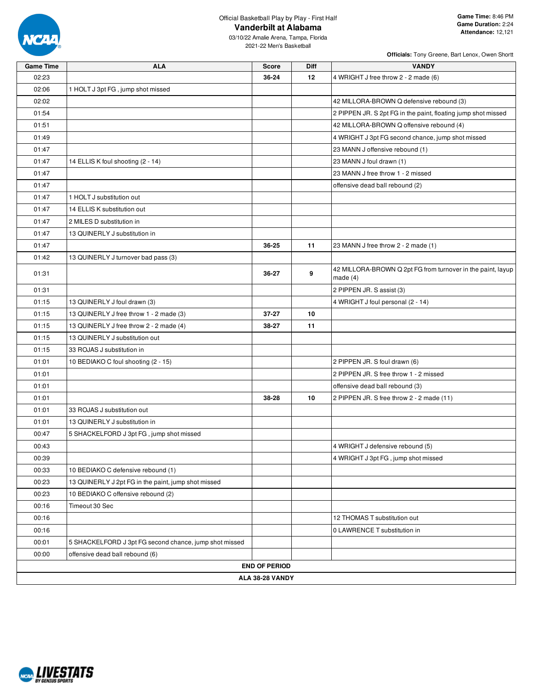

| <b>Game Time</b> | <b>ALA</b>                                             | <b>Score</b>         | Diff | <b>VANDY</b>                                                              |  |  |  |  |  |
|------------------|--------------------------------------------------------|----------------------|------|---------------------------------------------------------------------------|--|--|--|--|--|
| 02:23            |                                                        | 36-24                | 12   | 4 WRIGHT J free throw 2 - 2 made (6)                                      |  |  |  |  |  |
| 02:06            | 1 HOLT J 3pt FG, jump shot missed                      |                      |      |                                                                           |  |  |  |  |  |
| 02:02            |                                                        |                      |      | 42 MILLORA-BROWN Q defensive rebound (3)                                  |  |  |  |  |  |
| 01:54            |                                                        |                      |      | 2 PIPPEN JR. S 2pt FG in the paint, floating jump shot missed             |  |  |  |  |  |
| 01:51            |                                                        |                      |      | 42 MILLORA-BROWN Q offensive rebound (4)                                  |  |  |  |  |  |
| 01:49            |                                                        |                      |      | 4 WRIGHT J 3pt FG second chance, jump shot missed                         |  |  |  |  |  |
| 01:47            |                                                        |                      |      | 23 MANN J offensive rebound (1)                                           |  |  |  |  |  |
| 01:47            | 14 ELLIS K foul shooting (2 - 14)                      |                      |      | 23 MANN J foul drawn (1)                                                  |  |  |  |  |  |
| 01:47            |                                                        |                      |      | 23 MANN J free throw 1 - 2 missed                                         |  |  |  |  |  |
| 01:47            |                                                        |                      |      | offensive dead ball rebound (2)                                           |  |  |  |  |  |
| 01:47            | 1 HOLT J substitution out                              |                      |      |                                                                           |  |  |  |  |  |
| 01:47            | 14 ELLIS K substitution out                            |                      |      |                                                                           |  |  |  |  |  |
| 01:47            | 2 MILES D substitution in                              |                      |      |                                                                           |  |  |  |  |  |
| 01:47            | 13 QUINERLY J substitution in                          |                      |      |                                                                           |  |  |  |  |  |
| 01:47            |                                                        | 36-25                | 11   | 23 MANN J free throw 2 - 2 made (1)                                       |  |  |  |  |  |
| 01:42            | 13 QUINERLY J turnover bad pass (3)                    |                      |      |                                                                           |  |  |  |  |  |
| 01:31            |                                                        | 36-27                | 9    | 42 MILLORA-BROWN Q 2pt FG from turnover in the paint, layup<br>made $(4)$ |  |  |  |  |  |
| 01:31            |                                                        |                      |      | 2 PIPPEN JR. S assist (3)                                                 |  |  |  |  |  |
| 01:15            | 13 QUINERLY J foul drawn (3)                           |                      |      | 4 WRIGHT J foul personal (2 - 14)                                         |  |  |  |  |  |
| 01:15            | 13 QUINERLY J free throw 1 - 2 made (3)                | 37-27                | 10   |                                                                           |  |  |  |  |  |
| 01:15            | 13 QUINERLY J free throw 2 - 2 made (4)                | 38-27                | 11   |                                                                           |  |  |  |  |  |
| 01:15            | 13 QUINERLY J substitution out                         |                      |      |                                                                           |  |  |  |  |  |
| 01:15            | 33 ROJAS J substitution in                             |                      |      |                                                                           |  |  |  |  |  |
| 01:01            | 10 BEDIAKO C foul shooting (2 - 15)                    |                      |      | 2 PIPPEN JR. S foul drawn (6)                                             |  |  |  |  |  |
| 01:01            |                                                        |                      |      | 2 PIPPEN JR. S free throw 1 - 2 missed                                    |  |  |  |  |  |
| 01:01            |                                                        |                      |      | offensive dead ball rebound (3)                                           |  |  |  |  |  |
| 01:01            |                                                        | 38-28                | 10   | 2 PIPPEN JR. S free throw 2 - 2 made (11)                                 |  |  |  |  |  |
| 01:01            | 33 ROJAS J substitution out                            |                      |      |                                                                           |  |  |  |  |  |
| 01:01            | 13 QUINERLY J substitution in                          |                      |      |                                                                           |  |  |  |  |  |
| 00:47            | 5 SHACKELFORD J 3pt FG, jump shot missed               |                      |      |                                                                           |  |  |  |  |  |
| 00:43            |                                                        |                      |      | 4 WRIGHT J defensive rebound (5)                                          |  |  |  |  |  |
| 00:39            |                                                        |                      |      | 4 WRIGHT J 3pt FG, jump shot missed                                       |  |  |  |  |  |
| 00:33            | 10 BEDIAKO C defensive rebound (1)                     |                      |      |                                                                           |  |  |  |  |  |
| 00:23            | 13 QUINERLY J 2pt FG in the paint, jump shot missed    |                      |      |                                                                           |  |  |  |  |  |
| 00:23            | 10 BEDIAKO C offensive rebound (2)                     |                      |      |                                                                           |  |  |  |  |  |
| 00:16            | Timeout 30 Sec                                         |                      |      |                                                                           |  |  |  |  |  |
| 00:16            |                                                        |                      |      | 12 THOMAS T substitution out                                              |  |  |  |  |  |
| 00:16            |                                                        |                      |      | 0 LAWRENCE T substitution in                                              |  |  |  |  |  |
| 00:01            | 5 SHACKELFORD J 3pt FG second chance, jump shot missed |                      |      |                                                                           |  |  |  |  |  |
| 00:00            | offensive dead ball rebound (6)                        |                      |      |                                                                           |  |  |  |  |  |
|                  |                                                        | <b>END OF PERIOD</b> |      |                                                                           |  |  |  |  |  |
|                  | ALA 38-28 VANDY                                        |                      |      |                                                                           |  |  |  |  |  |

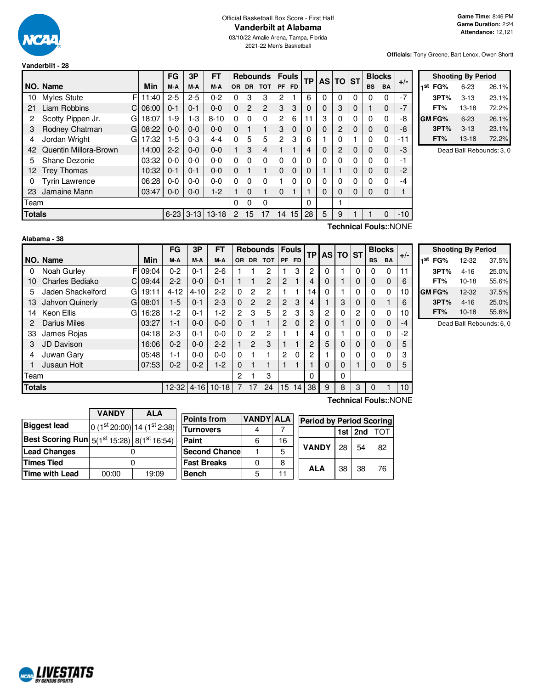

### Official Basketball Box Score - First Half **Vanderbilt at Alabama**

03/10/22 Amalie Arena, Tampa, Florida 2021-22 Men's Basketball

**Officials:** Tony Greene, Bart Lenox, Owen Shortt

| Vanderbilt - 28 |  |
|-----------------|--|
|                 |  |

|                                       |                        |       | <b>FG</b>                                                       | 3P             | FT       |          |                | <b>Rebounds</b> |           | <b>Fouls</b> | <b>TP</b> | <b>AS TO</b> |                | <b>ST</b> |       | <b>Blocks</b> | $+/-$ |   |
|---------------------------------------|------------------------|-------|-----------------------------------------------------------------|----------------|----------|----------|----------------|-----------------|-----------|--------------|-----------|--------------|----------------|-----------|-------|---------------|-------|---|
|                                       | NO. Name               | Min   | M-A<br>PF<br>M-A<br>M-A<br><b>DR</b><br><b>TOT</b><br><b>OR</b> | FD.            |          |          |                |                 | <b>BS</b> | <b>BA</b>    |           |              |                |           |       |               |       |   |
| 10                                    | F<br>Myles Stute       | 11:40 | $2 - 5$                                                         | $2 - 5$        | $0 - 2$  | 0        | 3              | 3               | 2         |              | 6         | 0            | 0              | $\Omega$  | 0     | 0             | $-7$  |   |
| 21                                    | Liam Robbins           | 06:00 | $0 - 1$                                                         | $0 - 1$        | $0 - 0$  | $\Omega$ | $\overline{2}$ | 2               | 3         | 3            | $\Omega$  | 0            | 3              | 0         |       | 0             | $-7$  |   |
| 2                                     | Scotty Pippen Jr.<br>G | 18:07 | $1-9$                                                           | $1-3$          | $8 - 10$ | 0        | $\Omega$       | $\Omega$        | 2         | 6            | 11        | 3            | 0              | 0         | 0     | 0             | -8    | C |
| 3                                     | Rodney Chatman<br>GI   | 08:22 | $0 - 0$                                                         | $0-0$          | $0-0$    | $\Omega$ |                |                 | 3         | 0            | 0         | 0            | 2              | $\Omega$  | 0     | 0             | -8    |   |
| 4                                     | Jordan Wright<br>G     | 17:32 | $1 - 5$                                                         | $0 - 3$        | $4 - 4$  | 0        | 5              | 5               | 2         | 3            | 6         |              | 0              |           | 0     | 0             | -11   |   |
| 42                                    | Quentin Millora-Brown  | 14:00 | $2 - 2$                                                         | $0-0$          | $0 - 0$  |          | 3              | 4               |           | ٠            | 4         | 0            | $\overline{2}$ | 0         | 0     | $\mathbf 0$   | -3    |   |
| 5                                     | Shane Dezonie          | 03:32 | $0 - 0$                                                         | $0 - 0$        | $0 - 0$  | 0        | 0              | $\Omega$        | 0         | 0            | $\Omega$  | 0            | 0              | 0         | 0     | 0             | -1    |   |
| 12.                                   | <b>Trey Thomas</b>     | 10:32 | $0 - 1$                                                         | $0 - 1$        | $0 - 0$  | $\Omega$ |                |                 | $\Omega$  | 0            | 0         |              |                | 0         | 0     | 0             | $-2$  |   |
| 0                                     | <b>Tyrin Lawrence</b>  | 06:28 | $0-0$                                                           | $0 - 0$        | $0 - 0$  | 0        | 0              | 0               |           | 0            | $\Omega$  | 0            | 0              | 0         | 0     | $\mathbf 0$   | -4    |   |
| 23                                    | Jamaine Mann           | 03:47 | $0-0$                                                           | $0 - 0$        | $1-2$    |          | $\Omega$       |                 | 0         |              |           | 0            | 0              | 0         | 0     | 0             |       |   |
| Team                                  |                        |       |                                                                 |                |          | 0        | 0              | 0               |           |              | 0         |              |                |           |       |               |       |   |
| <b>Totals</b><br>$6 - 23$<br>$3 - 13$ |                        |       | $13 - 18$                                                       | $\overline{2}$ | 15       | 17       | 14             | 15              | 28        | 5            | 9         |              |                | 0         | $-10$ |               |       |   |
|                                       | $T_{\text{sub}}$       |       |                                                                 |                |          |          |                |                 |           |              |           |              |                |           |       |               |       |   |

|     |               | <b>Shooting By Period</b> |       |
|-----|---------------|---------------------------|-------|
| 1st | FG%           | $6 - 23$                  | 26.1% |
|     | 3PT%          | $3 - 13$                  | 23.1% |
|     | FT%           | $13-18$                   | 72.2% |
|     | <b>GM FG%</b> | $6 - 23$                  | 26.1% |
|     | 3PT%          | $3-13$                    | 23.1% |
|     | FT%           | $13 - 18$                 | 72.2% |

Dead Ball Rebounds: 3, 0

| Alabama - 38 |  |
|--------------|--|
|--------------|--|

**Technical Fouls:**:NONE

|               |                         |          | <b>FG</b> | 3P       | FT      |              |                | <b>Rebounds</b> |                | <b>Fouls</b> | <b>TP</b>      |   | AS TO ST |          |           | <b>Blocks</b> | $+/-$ |
|---------------|-------------------------|----------|-----------|----------|---------|--------------|----------------|-----------------|----------------|--------------|----------------|---|----------|----------|-----------|---------------|-------|
|               | NO. Name                | Min      | M-A       | M-A      | M-A     | OR.          | <b>DR</b>      | <b>TOT</b>      |                | PF FD        |                |   |          |          | <b>BS</b> | <b>BA</b>     |       |
| 0             | Noah Gurley             | F 09:04  | $0 - 2$   | $0 - 1$  | $2-6$   |              |                | 2               |                | 3            | 2              | 0 |          | 0        | 0         | $\Omega$      | 11    |
| 10            | Charles Bediako         | Cl 09:44 | $2 - 2$   | $0 - 0$  | $0 - 1$ |              |                | $\overline{2}$  | $\overline{2}$ | 1            | 4              | 0 |          | 0        | 0         | $\Omega$      | 6     |
| 5             | Jaden Shackelford<br>GI | 19:11    | $4 - 12$  | $4 - 10$ | $2-2$   | 0            | 2              | 2               |                |              | 14.            | 0 |          | $\Omega$ | 0         | 0             | 10    |
| 13            | Jahvon Quinerly         | G108:01  | $1-5$     | $0 - 1$  | $2 - 3$ | $\Omega$     | $\overline{2}$ | 2               | $\overline{2}$ | 3            | 4              |   | 3        | $\Omega$ | 0         | ٠             | 6     |
| 14            | Keon Ellis<br>GI        | 16:28    | $1-2$     | $0 - 1$  | $1-2$   | $\mathbf{2}$ | 3              | 5               | 2              | 3            | 3              | 2 | 0        | 2        | 0         | 0             | 10    |
| 2             | <b>Darius Miles</b>     | 03:27    | $1 - 1$   | $0 - 0$  | $0 - 0$ | 0            |                |                 | 2              | $\Omega$     | 2              | 0 |          | 0        | 0         | $\Omega$      | -4    |
| 33            | James Rojas             | 04:18    | $2 - 3$   | $0 - 1$  | $0 - 0$ | $\Omega$     | 2              | 2               |                |              | 4              | 0 |          | 0        | 0         | 0             | -2    |
| 3             | JD Davison              | 16:06    | $0 - 2$   | $0 - 0$  | $2-2$   |              | $\overline{2}$ | 3               |                |              | $\overline{2}$ | 5 | 0        | 0        | 0         | $\Omega$      | 5     |
| 4             | Juwan Gary              | 05:48    | 1-1       | $0 - 0$  | $0 - 0$ | 0            |                |                 | $\overline{2}$ | $\Omega$     | 2              |   | ი        | 0        | 0         | 0             | 3     |
|               | Jusaun Holt             | 07:53    | $0 - 2$   | $0 - 2$  | $1 - 2$ | 0            |                |                 |                |              |                | 0 | 0        |          | 0         | $\Omega$      | 5     |
| Team          |                         |          |           |          |         | 2            |                | 3               |                |              | 0              |   | 0        |          |           |               |       |
| <b>Totals</b> |                         |          | $12 - 32$ | $4 - 16$ | $10-18$ | 7            | 17             | 24              | 15             | 14           | 38             | 9 | 8        | 3        | 0         |               | 10    |

 $\overline{\phantom{a}}$ 

|     | <b>Shooting By Period</b> |          |       |  |  |  |  |  |
|-----|---------------------------|----------|-------|--|--|--|--|--|
| 1st | FG%                       | 12-32    | 37.5% |  |  |  |  |  |
|     | 3PT%                      | $4 - 16$ | 25.0% |  |  |  |  |  |
|     | FT%                       | $10-18$  | 55.6% |  |  |  |  |  |
|     | GM FG%                    | 12-32    | 37.5% |  |  |  |  |  |
|     | 3PT%                      | $4 - 16$ | 25.0% |  |  |  |  |  |
|     | FT%                       | $10-18$  | 55.6% |  |  |  |  |  |

Dead Ball Rebounds: 6, 0

|                                                                   | <b>VANDY</b>                | ALA   |  |  |  |
|-------------------------------------------------------------------|-----------------------------|-------|--|--|--|
| <b>Biggest lead</b>                                               | 0 (1st 20:00) 14 (1st 2:38) |       |  |  |  |
| <b>Best Scoring Run</b> $5(1^{st}15:28)$ 8(1 <sup>st</sup> 16:54) |                             |       |  |  |  |
| <b>Lead Changes</b>                                               |                             |       |  |  |  |
| <b>Times Tied</b>                                                 |                             |       |  |  |  |
| <b>Time with Lead</b>                                             | 00:00                       | 19:09 |  |  |  |

г

| <b>Points from</b>   | <b>VANDY ALA</b> |    | <b>Period by Period Scoring</b> |          |
|----------------------|------------------|----|---------------------------------|----------|
| <b>Turnovers</b>     |                  |    | 1st $ 2nd$                      |          |
| Paint                | 6                | 16 |                                 |          |
| <b>Second Chance</b> |                  | 5  | <b>VANDY</b><br>28              | 54<br>82 |
| <b>Fast Breaks</b>   |                  | 8  |                                 |          |
| <b>Bench</b>         | 5                |    | <b>ALA</b><br>38                | 38<br>76 |

# **Technical Fouls:**:NONE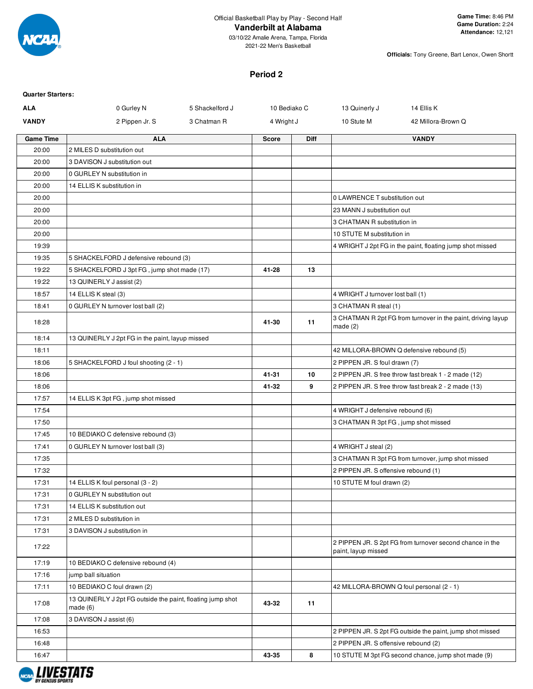

**Officials:** Tony Greene, Bart Lenox, Owen Shortt

# **Period 2**

| <b>Quarter Starters:</b> |                                                                       |                 |              |             |                                          |                                                              |
|--------------------------|-----------------------------------------------------------------------|-----------------|--------------|-------------|------------------------------------------|--------------------------------------------------------------|
| <b>ALA</b>               | 0 Gurley N                                                            | 5 Shackelford J | 10 Bediako C |             | 13 Quinerly J                            | 14 Ellis K                                                   |
| <b>VANDY</b>             | 2 Pippen Jr. S                                                        | 3 Chatman R     | 4 Wright J   |             | 10 Stute M                               | 42 Millora-Brown Q                                           |
| <b>Game Time</b>         | <b>ALA</b>                                                            |                 | <b>Score</b> | <b>Diff</b> |                                          | <b>VANDY</b>                                                 |
| 20:00                    | 2 MILES D substitution out                                            |                 |              |             |                                          |                                                              |
| 20:00                    | 3 DAVISON J substitution out                                          |                 |              |             |                                          |                                                              |
| 20:00                    | 0 GURLEY N substitution in                                            |                 |              |             |                                          |                                                              |
| 20:00                    | 14 ELLIS K substitution in                                            |                 |              |             |                                          |                                                              |
| 20:00                    |                                                                       |                 |              |             | 0 LAWRENCE T substitution out            |                                                              |
| 20:00                    |                                                                       |                 |              |             | 23 MANN J substitution out               |                                                              |
| 20:00                    |                                                                       |                 |              |             | 3 CHATMAN R substitution in              |                                                              |
| 20:00                    |                                                                       |                 |              |             | 10 STUTE M substitution in               |                                                              |
| 19:39                    |                                                                       |                 |              |             |                                          | 4 WRIGHT J 2pt FG in the paint, floating jump shot missed    |
| 19:35                    | 5 SHACKELFORD J defensive rebound (3)                                 |                 |              |             |                                          |                                                              |
| 19:22                    | 5 SHACKELFORD J 3pt FG, jump shot made (17)                           |                 | 41-28        | 13          |                                          |                                                              |
| 19:22                    | 13 QUINERLY J assist (2)                                              |                 |              |             |                                          |                                                              |
| 18:57                    | 14 ELLIS K steal (3)                                                  |                 |              |             | 4 WRIGHT J turnover lost ball (1)        |                                                              |
| 18:41                    | 0 GURLEY N turnover lost ball (2)                                     |                 |              |             | 3 CHATMAN R steal (1)                    |                                                              |
| 18:28                    |                                                                       |                 | 41-30        | 11          | made $(2)$                               | 3 CHATMAN R 2pt FG from turnover in the paint, driving layup |
| 18:14                    | 13 QUINERLY J 2pt FG in the paint, layup missed                       |                 |              |             |                                          |                                                              |
| 18:11                    |                                                                       |                 |              |             |                                          | 42 MILLORA-BROWN Q defensive rebound (5)                     |
| 18:06                    | 5 SHACKELFORD J foul shooting (2 - 1)                                 |                 |              |             | 2 PIPPEN JR. S foul drawn (7)            |                                                              |
| 18:06                    |                                                                       |                 | 41-31        | 10          |                                          | 2 PIPPEN JR. S free throw fast break 1 - 2 made (12)         |
| 18:06                    |                                                                       |                 | 41-32        | 9           |                                          | 2 PIPPEN JR. S free throw fast break 2 - 2 made (13)         |
| 17:57                    | 14 ELLIS K 3pt FG, jump shot missed                                   |                 |              |             |                                          |                                                              |
| 17:54                    |                                                                       |                 |              |             | 4 WRIGHT J defensive rebound (6)         |                                                              |
| 17:50                    |                                                                       |                 |              |             | 3 CHATMAN R 3pt FG, jump shot missed     |                                                              |
| 17:45                    | 10 BEDIAKO C defensive rebound (3)                                    |                 |              |             |                                          |                                                              |
| 17:41                    | 0 GURLEY N turnover lost ball (3)                                     |                 |              |             | 4 WRIGHT J steal (2)                     |                                                              |
| 17:35                    |                                                                       |                 |              |             |                                          | 3 CHATMAN R 3pt FG from turnover, jump shot missed           |
| 17:32                    |                                                                       |                 |              |             | 2 PIPPEN JR. S offensive rebound (1)     |                                                              |
| 17:31                    | 14 ELLIS K foul personal (3 - 2)                                      |                 |              |             | 10 STUTE M foul drawn (2)                |                                                              |
| 17:31                    | 0 GURLEY N substitution out                                           |                 |              |             |                                          |                                                              |
| 17:31                    | 14 ELLIS K substitution out                                           |                 |              |             |                                          |                                                              |
| 17:31                    | 2 MILES D substitution in                                             |                 |              |             |                                          |                                                              |
| 17:31                    | 3 DAVISON J substitution in                                           |                 |              |             |                                          |                                                              |
| 17:22                    |                                                                       |                 |              |             | paint, layup missed                      | 2 PIPPEN JR. S 2pt FG from turnover second chance in the     |
| 17:19                    | 10 BEDIAKO C defensive rebound (4)                                    |                 |              |             |                                          |                                                              |
| 17:16                    | jump ball situation                                                   |                 |              |             |                                          |                                                              |
| 17:11                    | 10 BEDIAKO C foul drawn (2)                                           |                 |              |             | 42 MILLORA-BROWN Q foul personal (2 - 1) |                                                              |
| 17:08                    | 13 QUINERLY J 2pt FG outside the paint, floating jump shot<br>made(6) |                 | 43-32        | 11          |                                          |                                                              |
| 17:08                    | 3 DAVISON J assist (6)                                                |                 |              |             |                                          |                                                              |
| 16:53                    |                                                                       |                 |              |             |                                          | 2 PIPPEN JR. S 2pt FG outside the paint, jump shot missed    |
| 16:48                    |                                                                       |                 |              |             | 2 PIPPEN JR. S offensive rebound (2)     |                                                              |
| 16:47                    |                                                                       |                 | 43-35        | 8           |                                          | 10 STUTE M 3pt FG second chance, jump shot made (9)          |

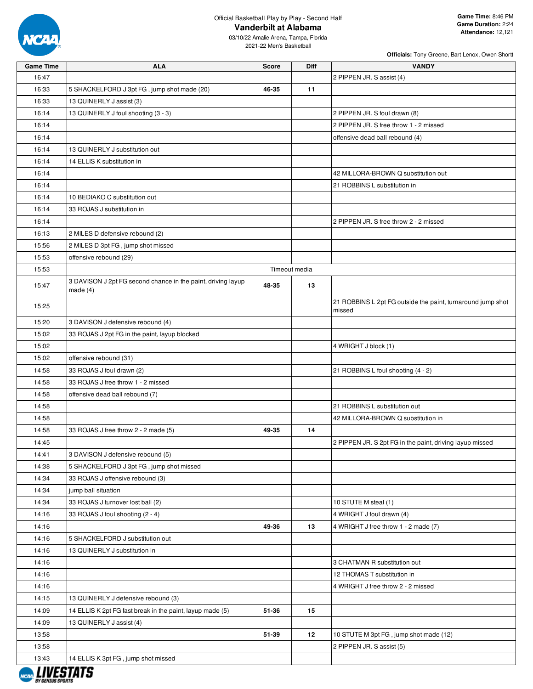

| 16:47<br>2 PIPPEN JR. S assist (4)<br>16:33<br>11<br>5 SHACKELFORD J 3pt FG, jump shot made (20)<br>46-35<br>16:33<br>13 QUINERLY J assist (3)<br>16:14<br>13 QUINERLY J foul shooting (3 - 3)<br>2 PIPPEN JR. S foul drawn (8)<br>2 PIPPEN JR. S free throw 1 - 2 missed<br>16:14<br>16:14<br>offensive dead ball rebound (4)<br>16:14<br>13 QUINERLY J substitution out<br>16:14<br>14 ELLIS K substitution in<br>16:14<br>42 MILLORA-BROWN Q substitution out<br>16:14<br>21 ROBBINS L substitution in<br>16:14<br>10 BEDIAKO C substitution out<br>16:14<br>33 ROJAS J substitution in<br>2 PIPPEN JR. S free throw 2 - 2 missed<br>16:14<br>16:13<br>2 MILES D defensive rebound (2)<br>15:56<br>2 MILES D 3pt FG, jump shot missed<br>15:53<br>offensive rebound (29)<br>15:53<br>Timeout media<br>3 DAVISON J 2pt FG second chance in the paint, driving layup<br>15:47<br>48-35<br>13<br>made $(4)$<br>21 ROBBINS L 2pt FG outside the paint, turnaround jump shot<br>15:25<br>missed<br>15:20<br>3 DAVISON J defensive rebound (4)<br>15:02<br>33 ROJAS J 2pt FG in the paint, layup blocked<br>15:02<br>4 WRIGHT J block (1)<br>15:02<br>offensive rebound (31)<br>14:58<br>33 ROJAS J foul drawn (2)<br>21 ROBBINS L foul shooting (4 - 2)<br>14:58<br>33 ROJAS J free throw 1 - 2 missed<br>14:58<br>offensive dead ball rebound (7)<br>21 ROBBINS L substitution out<br>14:58<br>14:58<br>42 MILLORA-BROWN Q substitution in<br>14<br>14:58<br>33 ROJAS J free throw 2 - 2 made (5)<br>49-35<br>14:45<br>2 PIPPEN JR. S 2pt FG in the paint, driving layup missed<br>14:41<br>3 DAVISON J defensive rebound (5)<br>14:38<br>5 SHACKELFORD J 3pt FG, jump shot missed<br>14:34<br>33 ROJAS J offensive rebound (3)<br>14:34<br>jump ball situation<br>14:34<br>33 ROJAS J turnover lost ball (2)<br>10 STUTE M steal (1)<br>14:16<br>33 ROJAS J foul shooting (2 - 4)<br>4 WRIGHT J foul drawn (4)<br>14:16<br>49-36<br>13<br>4 WRIGHT J free throw 1 - 2 made (7)<br>14:16<br>5 SHACKELFORD J substitution out<br>14:16<br>13 QUINERLY J substitution in<br>14:16<br>3 CHATMAN R substitution out<br>14:16<br>12 THOMAS T substitution in<br>14:16<br>4 WRIGHT J free throw 2 - 2 missed<br>14:15<br>13 QUINERLY J defensive rebound (3)<br>14:09<br>14 ELLIS K 2pt FG fast break in the paint, layup made (5)<br>51-36<br>15<br>14:09<br>13 QUINERLY J assist (4)<br>51-39<br>12<br>13:58<br>10 STUTE M 3pt FG, jump shot made (12)<br>13:58<br>2 PIPPEN JR. S assist (5)<br>13:43<br>14 ELLIS K 3pt FG, jump shot missed | <b>Game Time</b> | <b>ALA</b> | <b>Score</b> | Diff | <b>VANDY</b> |
|-----------------------------------------------------------------------------------------------------------------------------------------------------------------------------------------------------------------------------------------------------------------------------------------------------------------------------------------------------------------------------------------------------------------------------------------------------------------------------------------------------------------------------------------------------------------------------------------------------------------------------------------------------------------------------------------------------------------------------------------------------------------------------------------------------------------------------------------------------------------------------------------------------------------------------------------------------------------------------------------------------------------------------------------------------------------------------------------------------------------------------------------------------------------------------------------------------------------------------------------------------------------------------------------------------------------------------------------------------------------------------------------------------------------------------------------------------------------------------------------------------------------------------------------------------------------------------------------------------------------------------------------------------------------------------------------------------------------------------------------------------------------------------------------------------------------------------------------------------------------------------------------------------------------------------------------------------------------------------------------------------------------------------------------------------------------------------------------------------------------------------------------------------------------------------------------------------------------------------------------------------------------------------------------------------------------------------------------------------------------------------------------------------------------------------------------------------------------------------------------------------------------------------------------|------------------|------------|--------------|------|--------------|
|                                                                                                                                                                                                                                                                                                                                                                                                                                                                                                                                                                                                                                                                                                                                                                                                                                                                                                                                                                                                                                                                                                                                                                                                                                                                                                                                                                                                                                                                                                                                                                                                                                                                                                                                                                                                                                                                                                                                                                                                                                                                                                                                                                                                                                                                                                                                                                                                                                                                                                                                         |                  |            |              |      |              |
|                                                                                                                                                                                                                                                                                                                                                                                                                                                                                                                                                                                                                                                                                                                                                                                                                                                                                                                                                                                                                                                                                                                                                                                                                                                                                                                                                                                                                                                                                                                                                                                                                                                                                                                                                                                                                                                                                                                                                                                                                                                                                                                                                                                                                                                                                                                                                                                                                                                                                                                                         |                  |            |              |      |              |
|                                                                                                                                                                                                                                                                                                                                                                                                                                                                                                                                                                                                                                                                                                                                                                                                                                                                                                                                                                                                                                                                                                                                                                                                                                                                                                                                                                                                                                                                                                                                                                                                                                                                                                                                                                                                                                                                                                                                                                                                                                                                                                                                                                                                                                                                                                                                                                                                                                                                                                                                         |                  |            |              |      |              |
|                                                                                                                                                                                                                                                                                                                                                                                                                                                                                                                                                                                                                                                                                                                                                                                                                                                                                                                                                                                                                                                                                                                                                                                                                                                                                                                                                                                                                                                                                                                                                                                                                                                                                                                                                                                                                                                                                                                                                                                                                                                                                                                                                                                                                                                                                                                                                                                                                                                                                                                                         |                  |            |              |      |              |
|                                                                                                                                                                                                                                                                                                                                                                                                                                                                                                                                                                                                                                                                                                                                                                                                                                                                                                                                                                                                                                                                                                                                                                                                                                                                                                                                                                                                                                                                                                                                                                                                                                                                                                                                                                                                                                                                                                                                                                                                                                                                                                                                                                                                                                                                                                                                                                                                                                                                                                                                         |                  |            |              |      |              |
|                                                                                                                                                                                                                                                                                                                                                                                                                                                                                                                                                                                                                                                                                                                                                                                                                                                                                                                                                                                                                                                                                                                                                                                                                                                                                                                                                                                                                                                                                                                                                                                                                                                                                                                                                                                                                                                                                                                                                                                                                                                                                                                                                                                                                                                                                                                                                                                                                                                                                                                                         |                  |            |              |      |              |
|                                                                                                                                                                                                                                                                                                                                                                                                                                                                                                                                                                                                                                                                                                                                                                                                                                                                                                                                                                                                                                                                                                                                                                                                                                                                                                                                                                                                                                                                                                                                                                                                                                                                                                                                                                                                                                                                                                                                                                                                                                                                                                                                                                                                                                                                                                                                                                                                                                                                                                                                         |                  |            |              |      |              |
|                                                                                                                                                                                                                                                                                                                                                                                                                                                                                                                                                                                                                                                                                                                                                                                                                                                                                                                                                                                                                                                                                                                                                                                                                                                                                                                                                                                                                                                                                                                                                                                                                                                                                                                                                                                                                                                                                                                                                                                                                                                                                                                                                                                                                                                                                                                                                                                                                                                                                                                                         |                  |            |              |      |              |
|                                                                                                                                                                                                                                                                                                                                                                                                                                                                                                                                                                                                                                                                                                                                                                                                                                                                                                                                                                                                                                                                                                                                                                                                                                                                                                                                                                                                                                                                                                                                                                                                                                                                                                                                                                                                                                                                                                                                                                                                                                                                                                                                                                                                                                                                                                                                                                                                                                                                                                                                         |                  |            |              |      |              |
|                                                                                                                                                                                                                                                                                                                                                                                                                                                                                                                                                                                                                                                                                                                                                                                                                                                                                                                                                                                                                                                                                                                                                                                                                                                                                                                                                                                                                                                                                                                                                                                                                                                                                                                                                                                                                                                                                                                                                                                                                                                                                                                                                                                                                                                                                                                                                                                                                                                                                                                                         |                  |            |              |      |              |
|                                                                                                                                                                                                                                                                                                                                                                                                                                                                                                                                                                                                                                                                                                                                                                                                                                                                                                                                                                                                                                                                                                                                                                                                                                                                                                                                                                                                                                                                                                                                                                                                                                                                                                                                                                                                                                                                                                                                                                                                                                                                                                                                                                                                                                                                                                                                                                                                                                                                                                                                         |                  |            |              |      |              |
|                                                                                                                                                                                                                                                                                                                                                                                                                                                                                                                                                                                                                                                                                                                                                                                                                                                                                                                                                                                                                                                                                                                                                                                                                                                                                                                                                                                                                                                                                                                                                                                                                                                                                                                                                                                                                                                                                                                                                                                                                                                                                                                                                                                                                                                                                                                                                                                                                                                                                                                                         |                  |            |              |      |              |
|                                                                                                                                                                                                                                                                                                                                                                                                                                                                                                                                                                                                                                                                                                                                                                                                                                                                                                                                                                                                                                                                                                                                                                                                                                                                                                                                                                                                                                                                                                                                                                                                                                                                                                                                                                                                                                                                                                                                                                                                                                                                                                                                                                                                                                                                                                                                                                                                                                                                                                                                         |                  |            |              |      |              |
|                                                                                                                                                                                                                                                                                                                                                                                                                                                                                                                                                                                                                                                                                                                                                                                                                                                                                                                                                                                                                                                                                                                                                                                                                                                                                                                                                                                                                                                                                                                                                                                                                                                                                                                                                                                                                                                                                                                                                                                                                                                                                                                                                                                                                                                                                                                                                                                                                                                                                                                                         |                  |            |              |      |              |
|                                                                                                                                                                                                                                                                                                                                                                                                                                                                                                                                                                                                                                                                                                                                                                                                                                                                                                                                                                                                                                                                                                                                                                                                                                                                                                                                                                                                                                                                                                                                                                                                                                                                                                                                                                                                                                                                                                                                                                                                                                                                                                                                                                                                                                                                                                                                                                                                                                                                                                                                         |                  |            |              |      |              |
|                                                                                                                                                                                                                                                                                                                                                                                                                                                                                                                                                                                                                                                                                                                                                                                                                                                                                                                                                                                                                                                                                                                                                                                                                                                                                                                                                                                                                                                                                                                                                                                                                                                                                                                                                                                                                                                                                                                                                                                                                                                                                                                                                                                                                                                                                                                                                                                                                                                                                                                                         |                  |            |              |      |              |
|                                                                                                                                                                                                                                                                                                                                                                                                                                                                                                                                                                                                                                                                                                                                                                                                                                                                                                                                                                                                                                                                                                                                                                                                                                                                                                                                                                                                                                                                                                                                                                                                                                                                                                                                                                                                                                                                                                                                                                                                                                                                                                                                                                                                                                                                                                                                                                                                                                                                                                                                         |                  |            |              |      |              |
|                                                                                                                                                                                                                                                                                                                                                                                                                                                                                                                                                                                                                                                                                                                                                                                                                                                                                                                                                                                                                                                                                                                                                                                                                                                                                                                                                                                                                                                                                                                                                                                                                                                                                                                                                                                                                                                                                                                                                                                                                                                                                                                                                                                                                                                                                                                                                                                                                                                                                                                                         |                  |            |              |      |              |
|                                                                                                                                                                                                                                                                                                                                                                                                                                                                                                                                                                                                                                                                                                                                                                                                                                                                                                                                                                                                                                                                                                                                                                                                                                                                                                                                                                                                                                                                                                                                                                                                                                                                                                                                                                                                                                                                                                                                                                                                                                                                                                                                                                                                                                                                                                                                                                                                                                                                                                                                         |                  |            |              |      |              |
|                                                                                                                                                                                                                                                                                                                                                                                                                                                                                                                                                                                                                                                                                                                                                                                                                                                                                                                                                                                                                                                                                                                                                                                                                                                                                                                                                                                                                                                                                                                                                                                                                                                                                                                                                                                                                                                                                                                                                                                                                                                                                                                                                                                                                                                                                                                                                                                                                                                                                                                                         |                  |            |              |      |              |
|                                                                                                                                                                                                                                                                                                                                                                                                                                                                                                                                                                                                                                                                                                                                                                                                                                                                                                                                                                                                                                                                                                                                                                                                                                                                                                                                                                                                                                                                                                                                                                                                                                                                                                                                                                                                                                                                                                                                                                                                                                                                                                                                                                                                                                                                                                                                                                                                                                                                                                                                         |                  |            |              |      |              |
|                                                                                                                                                                                                                                                                                                                                                                                                                                                                                                                                                                                                                                                                                                                                                                                                                                                                                                                                                                                                                                                                                                                                                                                                                                                                                                                                                                                                                                                                                                                                                                                                                                                                                                                                                                                                                                                                                                                                                                                                                                                                                                                                                                                                                                                                                                                                                                                                                                                                                                                                         |                  |            |              |      |              |
|                                                                                                                                                                                                                                                                                                                                                                                                                                                                                                                                                                                                                                                                                                                                                                                                                                                                                                                                                                                                                                                                                                                                                                                                                                                                                                                                                                                                                                                                                                                                                                                                                                                                                                                                                                                                                                                                                                                                                                                                                                                                                                                                                                                                                                                                                                                                                                                                                                                                                                                                         |                  |            |              |      |              |
|                                                                                                                                                                                                                                                                                                                                                                                                                                                                                                                                                                                                                                                                                                                                                                                                                                                                                                                                                                                                                                                                                                                                                                                                                                                                                                                                                                                                                                                                                                                                                                                                                                                                                                                                                                                                                                                                                                                                                                                                                                                                                                                                                                                                                                                                                                                                                                                                                                                                                                                                         |                  |            |              |      |              |
|                                                                                                                                                                                                                                                                                                                                                                                                                                                                                                                                                                                                                                                                                                                                                                                                                                                                                                                                                                                                                                                                                                                                                                                                                                                                                                                                                                                                                                                                                                                                                                                                                                                                                                                                                                                                                                                                                                                                                                                                                                                                                                                                                                                                                                                                                                                                                                                                                                                                                                                                         |                  |            |              |      |              |
|                                                                                                                                                                                                                                                                                                                                                                                                                                                                                                                                                                                                                                                                                                                                                                                                                                                                                                                                                                                                                                                                                                                                                                                                                                                                                                                                                                                                                                                                                                                                                                                                                                                                                                                                                                                                                                                                                                                                                                                                                                                                                                                                                                                                                                                                                                                                                                                                                                                                                                                                         |                  |            |              |      |              |
|                                                                                                                                                                                                                                                                                                                                                                                                                                                                                                                                                                                                                                                                                                                                                                                                                                                                                                                                                                                                                                                                                                                                                                                                                                                                                                                                                                                                                                                                                                                                                                                                                                                                                                                                                                                                                                                                                                                                                                                                                                                                                                                                                                                                                                                                                                                                                                                                                                                                                                                                         |                  |            |              |      |              |
|                                                                                                                                                                                                                                                                                                                                                                                                                                                                                                                                                                                                                                                                                                                                                                                                                                                                                                                                                                                                                                                                                                                                                                                                                                                                                                                                                                                                                                                                                                                                                                                                                                                                                                                                                                                                                                                                                                                                                                                                                                                                                                                                                                                                                                                                                                                                                                                                                                                                                                                                         |                  |            |              |      |              |
|                                                                                                                                                                                                                                                                                                                                                                                                                                                                                                                                                                                                                                                                                                                                                                                                                                                                                                                                                                                                                                                                                                                                                                                                                                                                                                                                                                                                                                                                                                                                                                                                                                                                                                                                                                                                                                                                                                                                                                                                                                                                                                                                                                                                                                                                                                                                                                                                                                                                                                                                         |                  |            |              |      |              |
|                                                                                                                                                                                                                                                                                                                                                                                                                                                                                                                                                                                                                                                                                                                                                                                                                                                                                                                                                                                                                                                                                                                                                                                                                                                                                                                                                                                                                                                                                                                                                                                                                                                                                                                                                                                                                                                                                                                                                                                                                                                                                                                                                                                                                                                                                                                                                                                                                                                                                                                                         |                  |            |              |      |              |
|                                                                                                                                                                                                                                                                                                                                                                                                                                                                                                                                                                                                                                                                                                                                                                                                                                                                                                                                                                                                                                                                                                                                                                                                                                                                                                                                                                                                                                                                                                                                                                                                                                                                                                                                                                                                                                                                                                                                                                                                                                                                                                                                                                                                                                                                                                                                                                                                                                                                                                                                         |                  |            |              |      |              |
|                                                                                                                                                                                                                                                                                                                                                                                                                                                                                                                                                                                                                                                                                                                                                                                                                                                                                                                                                                                                                                                                                                                                                                                                                                                                                                                                                                                                                                                                                                                                                                                                                                                                                                                                                                                                                                                                                                                                                                                                                                                                                                                                                                                                                                                                                                                                                                                                                                                                                                                                         |                  |            |              |      |              |
|                                                                                                                                                                                                                                                                                                                                                                                                                                                                                                                                                                                                                                                                                                                                                                                                                                                                                                                                                                                                                                                                                                                                                                                                                                                                                                                                                                                                                                                                                                                                                                                                                                                                                                                                                                                                                                                                                                                                                                                                                                                                                                                                                                                                                                                                                                                                                                                                                                                                                                                                         |                  |            |              |      |              |
|                                                                                                                                                                                                                                                                                                                                                                                                                                                                                                                                                                                                                                                                                                                                                                                                                                                                                                                                                                                                                                                                                                                                                                                                                                                                                                                                                                                                                                                                                                                                                                                                                                                                                                                                                                                                                                                                                                                                                                                                                                                                                                                                                                                                                                                                                                                                                                                                                                                                                                                                         |                  |            |              |      |              |
|                                                                                                                                                                                                                                                                                                                                                                                                                                                                                                                                                                                                                                                                                                                                                                                                                                                                                                                                                                                                                                                                                                                                                                                                                                                                                                                                                                                                                                                                                                                                                                                                                                                                                                                                                                                                                                                                                                                                                                                                                                                                                                                                                                                                                                                                                                                                                                                                                                                                                                                                         |                  |            |              |      |              |
|                                                                                                                                                                                                                                                                                                                                                                                                                                                                                                                                                                                                                                                                                                                                                                                                                                                                                                                                                                                                                                                                                                                                                                                                                                                                                                                                                                                                                                                                                                                                                                                                                                                                                                                                                                                                                                                                                                                                                                                                                                                                                                                                                                                                                                                                                                                                                                                                                                                                                                                                         |                  |            |              |      |              |
|                                                                                                                                                                                                                                                                                                                                                                                                                                                                                                                                                                                                                                                                                                                                                                                                                                                                                                                                                                                                                                                                                                                                                                                                                                                                                                                                                                                                                                                                                                                                                                                                                                                                                                                                                                                                                                                                                                                                                                                                                                                                                                                                                                                                                                                                                                                                                                                                                                                                                                                                         |                  |            |              |      |              |
|                                                                                                                                                                                                                                                                                                                                                                                                                                                                                                                                                                                                                                                                                                                                                                                                                                                                                                                                                                                                                                                                                                                                                                                                                                                                                                                                                                                                                                                                                                                                                                                                                                                                                                                                                                                                                                                                                                                                                                                                                                                                                                                                                                                                                                                                                                                                                                                                                                                                                                                                         |                  |            |              |      |              |
|                                                                                                                                                                                                                                                                                                                                                                                                                                                                                                                                                                                                                                                                                                                                                                                                                                                                                                                                                                                                                                                                                                                                                                                                                                                                                                                                                                                                                                                                                                                                                                                                                                                                                                                                                                                                                                                                                                                                                                                                                                                                                                                                                                                                                                                                                                                                                                                                                                                                                                                                         |                  |            |              |      |              |
|                                                                                                                                                                                                                                                                                                                                                                                                                                                                                                                                                                                                                                                                                                                                                                                                                                                                                                                                                                                                                                                                                                                                                                                                                                                                                                                                                                                                                                                                                                                                                                                                                                                                                                                                                                                                                                                                                                                                                                                                                                                                                                                                                                                                                                                                                                                                                                                                                                                                                                                                         |                  |            |              |      |              |
|                                                                                                                                                                                                                                                                                                                                                                                                                                                                                                                                                                                                                                                                                                                                                                                                                                                                                                                                                                                                                                                                                                                                                                                                                                                                                                                                                                                                                                                                                                                                                                                                                                                                                                                                                                                                                                                                                                                                                                                                                                                                                                                                                                                                                                                                                                                                                                                                                                                                                                                                         |                  |            |              |      |              |
|                                                                                                                                                                                                                                                                                                                                                                                                                                                                                                                                                                                                                                                                                                                                                                                                                                                                                                                                                                                                                                                                                                                                                                                                                                                                                                                                                                                                                                                                                                                                                                                                                                                                                                                                                                                                                                                                                                                                                                                                                                                                                                                                                                                                                                                                                                                                                                                                                                                                                                                                         |                  |            |              |      |              |
|                                                                                                                                                                                                                                                                                                                                                                                                                                                                                                                                                                                                                                                                                                                                                                                                                                                                                                                                                                                                                                                                                                                                                                                                                                                                                                                                                                                                                                                                                                                                                                                                                                                                                                                                                                                                                                                                                                                                                                                                                                                                                                                                                                                                                                                                                                                                                                                                                                                                                                                                         |                  |            |              |      |              |
|                                                                                                                                                                                                                                                                                                                                                                                                                                                                                                                                                                                                                                                                                                                                                                                                                                                                                                                                                                                                                                                                                                                                                                                                                                                                                                                                                                                                                                                                                                                                                                                                                                                                                                                                                                                                                                                                                                                                                                                                                                                                                                                                                                                                                                                                                                                                                                                                                                                                                                                                         |                  |            |              |      |              |
|                                                                                                                                                                                                                                                                                                                                                                                                                                                                                                                                                                                                                                                                                                                                                                                                                                                                                                                                                                                                                                                                                                                                                                                                                                                                                                                                                                                                                                                                                                                                                                                                                                                                                                                                                                                                                                                                                                                                                                                                                                                                                                                                                                                                                                                                                                                                                                                                                                                                                                                                         |                  |            |              |      |              |
|                                                                                                                                                                                                                                                                                                                                                                                                                                                                                                                                                                                                                                                                                                                                                                                                                                                                                                                                                                                                                                                                                                                                                                                                                                                                                                                                                                                                                                                                                                                                                                                                                                                                                                                                                                                                                                                                                                                                                                                                                                                                                                                                                                                                                                                                                                                                                                                                                                                                                                                                         |                  |            |              |      |              |
|                                                                                                                                                                                                                                                                                                                                                                                                                                                                                                                                                                                                                                                                                                                                                                                                                                                                                                                                                                                                                                                                                                                                                                                                                                                                                                                                                                                                                                                                                                                                                                                                                                                                                                                                                                                                                                                                                                                                                                                                                                                                                                                                                                                                                                                                                                                                                                                                                                                                                                                                         |                  |            |              |      |              |
|                                                                                                                                                                                                                                                                                                                                                                                                                                                                                                                                                                                                                                                                                                                                                                                                                                                                                                                                                                                                                                                                                                                                                                                                                                                                                                                                                                                                                                                                                                                                                                                                                                                                                                                                                                                                                                                                                                                                                                                                                                                                                                                                                                                                                                                                                                                                                                                                                                                                                                                                         |                  |            |              |      |              |
|                                                                                                                                                                                                                                                                                                                                                                                                                                                                                                                                                                                                                                                                                                                                                                                                                                                                                                                                                                                                                                                                                                                                                                                                                                                                                                                                                                                                                                                                                                                                                                                                                                                                                                                                                                                                                                                                                                                                                                                                                                                                                                                                                                                                                                                                                                                                                                                                                                                                                                                                         |                  |            |              |      |              |
|                                                                                                                                                                                                                                                                                                                                                                                                                                                                                                                                                                                                                                                                                                                                                                                                                                                                                                                                                                                                                                                                                                                                                                                                                                                                                                                                                                                                                                                                                                                                                                                                                                                                                                                                                                                                                                                                                                                                                                                                                                                                                                                                                                                                                                                                                                                                                                                                                                                                                                                                         |                  |            |              |      |              |

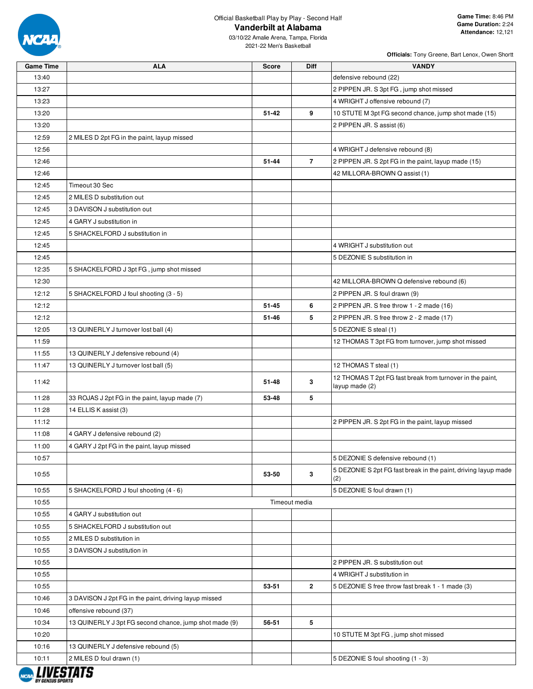

03/10/22 Amalie Arena, Tampa, Florida 2021-22 Men's Basketball

| <b>Game Time</b> | <b>ALA</b>                                             | <b>Score</b> | <b>Diff</b>    | <b>VANDY</b>                                                                |
|------------------|--------------------------------------------------------|--------------|----------------|-----------------------------------------------------------------------------|
| 13:40            |                                                        |              |                | defensive rebound (22)                                                      |
| 13:27            |                                                        |              |                | 2 PIPPEN JR. S 3pt FG, jump shot missed                                     |
| 13:23            |                                                        |              |                | 4 WRIGHT J offensive rebound (7)                                            |
| 13:20            |                                                        | $51 - 42$    | 9              | 10 STUTE M 3pt FG second chance, jump shot made (15)                        |
| 13:20            |                                                        |              |                | 2 PIPPEN JR. S assist (6)                                                   |
| 12:59            | 2 MILES D 2pt FG in the paint, layup missed            |              |                |                                                                             |
| 12:56            |                                                        |              |                | 4 WRIGHT J defensive rebound (8)                                            |
| 12:46            |                                                        | 51-44        | $\overline{7}$ | 2 PIPPEN JR. S 2pt FG in the paint, layup made (15)                         |
| 12:46            |                                                        |              |                | 42 MILLORA-BROWN Q assist (1)                                               |
| 12:45            | Timeout 30 Sec                                         |              |                |                                                                             |
| 12:45            | 2 MILES D substitution out                             |              |                |                                                                             |
| 12:45            | 3 DAVISON J substitution out                           |              |                |                                                                             |
| 12:45            | 4 GARY J substitution in                               |              |                |                                                                             |
| 12:45            | 5 SHACKELFORD J substitution in                        |              |                |                                                                             |
| 12:45            |                                                        |              |                | 4 WRIGHT J substitution out                                                 |
| 12:45            |                                                        |              |                | 5 DEZONIE S substitution in                                                 |
| 12:35            | 5 SHACKELFORD J 3pt FG, jump shot missed               |              |                |                                                                             |
| 12:30            |                                                        |              |                | 42 MILLORA-BROWN Q defensive rebound (6)                                    |
| 12:12            | 5 SHACKELFORD J foul shooting (3 - 5)                  |              |                | 2 PIPPEN JR. S foul drawn (9)                                               |
| 12:12            |                                                        | $51 - 45$    | 6              | 2 PIPPEN JR. S free throw 1 - 2 made (16)                                   |
| 12:12            |                                                        | 51-46        | 5              | 2 PIPPEN JR. S free throw 2 - 2 made (17)                                   |
| 12:05            | 13 QUINERLY J turnover lost ball (4)                   |              |                | 5 DEZONIE S steal (1)                                                       |
| 11:59            |                                                        |              |                | 12 THOMAS T 3pt FG from turnover, jump shot missed                          |
| 11:55            |                                                        |              |                |                                                                             |
|                  | 13 QUINERLY J defensive rebound (4)                    |              |                |                                                                             |
| 11:47            | 13 QUINERLY J turnover lost ball (5)                   |              |                | 12 THOMAS T steal (1)                                                       |
| 11:42            |                                                        | 51-48        | 3              | 12 THOMAS T 2pt FG fast break from turnover in the paint,<br>layup made (2) |
| 11:28            | 33 ROJAS J 2pt FG in the paint, layup made (7)         | 53-48        | 5              |                                                                             |
| 11:28            | 14 ELLIS K assist (3)                                  |              |                |                                                                             |
| 11:12            |                                                        |              |                | 2 PIPPEN JR. S 2pt FG in the paint, layup missed                            |
| 11:08            | 4 GARY J defensive rebound (2)                         |              |                |                                                                             |
| 11:00            | 4 GARY J 2pt FG in the paint, layup missed             |              |                |                                                                             |
| 10:57            |                                                        |              |                | 5 DEZONIE S defensive rebound (1)                                           |
| 10:55            |                                                        | 53-50        | 3              | 5 DEZONIE S 2pt FG fast break in the paint, driving layup made<br>(2)       |
| 10:55            | 5 SHACKELFORD J foul shooting (4 - 6)                  |              |                | 5 DEZONIE S foul drawn (1)                                                  |
| 10:55            |                                                        |              | Timeout media  |                                                                             |
| 10:55            | 4 GARY J substitution out                              |              |                |                                                                             |
| 10:55            | 5 SHACKELFORD J substitution out                       |              |                |                                                                             |
| 10:55            | 2 MILES D substitution in                              |              |                |                                                                             |
| 10:55            | 3 DAVISON J substitution in                            |              |                |                                                                             |
| 10:55            |                                                        |              |                | 2 PIPPEN JR. S substitution out                                             |
| 10:55            |                                                        |              |                | 4 WRIGHT J substitution in                                                  |
| 10:55            |                                                        | 53-51        | $\mathbf{2}$   | 5 DEZONIE S free throw fast break 1 - 1 made (3)                            |
| 10:46            | 3 DAVISON J 2pt FG in the paint, driving layup missed  |              |                |                                                                             |
| 10:46            | offensive rebound (37)                                 |              |                |                                                                             |
| 10:34            | 13 QUINERLY J 3pt FG second chance, jump shot made (9) | 56-51        | 5              |                                                                             |
| 10:20            |                                                        |              |                | 10 STUTE M 3pt FG, jump shot missed                                         |
|                  |                                                        |              |                |                                                                             |
| 10:16            | 13 QUINERLY J defensive rebound (5)                    |              |                |                                                                             |
| 10:11            | 2 MILES D foul drawn (1)                               |              |                | 5 DEZONIE S foul shooting (1 - 3)                                           |

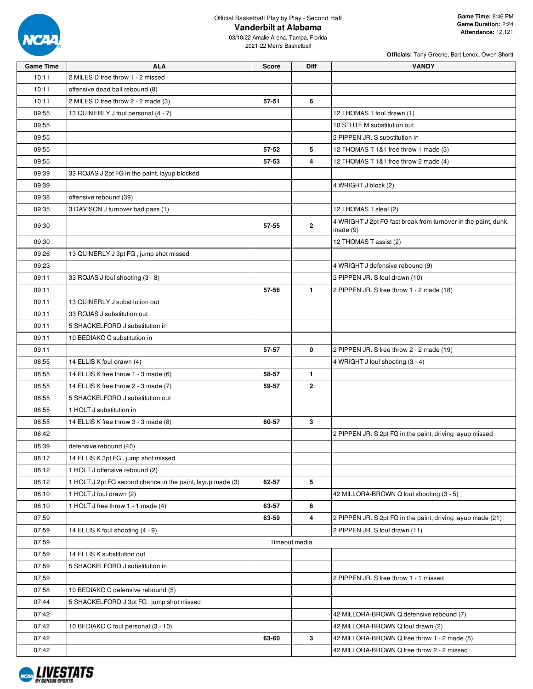

| <b>Game Time</b> | <b>ALA</b>                                                 | <b>Score</b> | Diff           | <b>VANDY</b>                                                               |
|------------------|------------------------------------------------------------|--------------|----------------|----------------------------------------------------------------------------|
| 10:11            | 2 MILES D free throw 1 - 2 missed                          |              |                |                                                                            |
| 10:11            | offensive dead ball rebound (8)                            |              |                |                                                                            |
| 10:11            | 2 MILES D free throw 2 - 2 made (3)                        | 57-51        | 6              |                                                                            |
| 09:55            | 13 QUINERLY J foul personal (4 - 7)                        |              |                | 12 THOMAS T foul drawn (1)                                                 |
| 09:55            |                                                            |              |                | 10 STUTE M substitution out                                                |
| 09:55            |                                                            |              |                | 2 PIPPEN JR. S substitution in                                             |
| 09:55            |                                                            | 57-52        | 5              | 12 THOMAS T 1&1 free throw 1 made (3)                                      |
| 09:55            |                                                            | 57-53        | 4              | 12 THOMAS T 1&1 free throw 2 made (4)                                      |
| 09:39            | 33 ROJAS J 2pt FG in the paint, layup blocked              |              |                |                                                                            |
| 09:39            |                                                            |              |                | 4 WRIGHT J block (2)                                                       |
| 09:38            | offensive rebound (39)                                     |              |                |                                                                            |
| 09:35            | 3 DAVISON J turnover bad pass (1)                          |              |                | 12 THOMAS T steal (2)                                                      |
| 09:30            |                                                            | 57-55        | $\overline{2}$ | 4 WRIGHT J 2pt FG fast break from turnover in the paint, dunk,<br>made (9) |
| 09:30            |                                                            |              |                | 12 THOMAS T assist (2)                                                     |
| 09:26            | 13 QUINERLY J 3pt FG, jump shot missed                     |              |                |                                                                            |
| 09:23            |                                                            |              |                | 4 WRIGHT J defensive rebound (9)                                           |
| 09:11            | 33 ROJAS J foul shooting (3 - 8)                           |              |                | 2 PIPPEN JR. S foul drawn (10)                                             |
| 09:11            |                                                            | 57-56        | $\mathbf{1}$   | 2 PIPPEN JR. S free throw 1 - 2 made (18)                                  |
| 09:11            | 13 QUINERLY J substitution out                             |              |                |                                                                            |
| 09:11            | 33 ROJAS J substitution out                                |              |                |                                                                            |
| 09:11            | 5 SHACKELFORD J substitution in                            |              |                |                                                                            |
| 09:11            | 10 BEDIAKO C substitution in                               |              |                |                                                                            |
| 09:11            |                                                            | 57-57        | 0              | 2 PIPPEN JR. S free throw 2 - 2 made (19)                                  |
| 08:55            | 14 ELLIS K foul drawn (4)                                  |              |                | 4 WRIGHT J foul shooting (3 - 4)                                           |
| 08:55            | 14 ELLIS K free throw 1 - 3 made (6)                       | 58-57        | $\mathbf{1}$   |                                                                            |
| 08:55            | 14 ELLIS K free throw 2 - 3 made (7)                       | 59-57        | $\mathbf{2}$   |                                                                            |
| 08:55            | 5 SHACKELFORD J substitution out                           |              |                |                                                                            |
| 08:55            | 1 HOLT J substitution in                                   |              |                |                                                                            |
| 08:55            | 14 ELLIS K free throw 3 - 3 made (8)                       | 60-57        | 3              |                                                                            |
| 08:42            |                                                            |              |                | 2 PIPPEN JR. S 2pt FG in the paint, driving layup missed                   |
| 08:39            | defensive rebound (40)                                     |              |                |                                                                            |
| 08:17            | 14 ELLIS K 3pt FG, jump shot missed                        |              |                |                                                                            |
| 08:12            | 1 HOLT J offensive rebound (2)                             |              |                |                                                                            |
| 08:12            | 1 HOLT J 2pt FG second chance in the paint, layup made (3) | 62-57        | 5              |                                                                            |
| 08:10            | 1 HOLT J foul drawn (2)                                    |              |                | 42 MILLORA-BROWN Q foul shooting (3 - 5)                                   |
| 08:10            | 1 HOLT J free throw 1 - 1 made (4)                         | 63-57        | 6              |                                                                            |
| 07:59            |                                                            | 63-59        | 4              | 2 PIPPEN JR. S 2pt FG in the paint, driving layup made (21)                |
| 07:59            | 14 ELLIS K foul shooting (4 - 9)                           |              |                | 2 PIPPEN JR. S foul drawn (11)                                             |
| 07:59            |                                                            |              | Timeout media  |                                                                            |
| 07:59            | 14 ELLIS K substitution out                                |              |                |                                                                            |
| 07:59            | 5 SHACKELFORD J substitution in                            |              |                |                                                                            |
| 07:59            |                                                            |              |                | 2 PIPPEN JR. S free throw 1 - 1 missed                                     |
| 07:58            | 10 BEDIAKO C defensive rebound (5)                         |              |                |                                                                            |
| 07:44            | 5 SHACKELFORD J 3pt FG, jump shot missed                   |              |                |                                                                            |
| 07:42            |                                                            |              |                | 42 MILLORA-BROWN Q defensive rebound (7)                                   |
| 07:42            | 10 BEDIAKO C foul personal (3 - 10)                        |              |                | 42 MILLORA-BROWN Q foul drawn (2)                                          |
| 07:42            |                                                            | 63-60        | 3              | 42 MILLORA-BROWN Q free throw 1 - 2 made (5)                               |
| 07:42            |                                                            |              |                | 42 MILLORA-BROWN Q free throw 2 - 2 missed                                 |

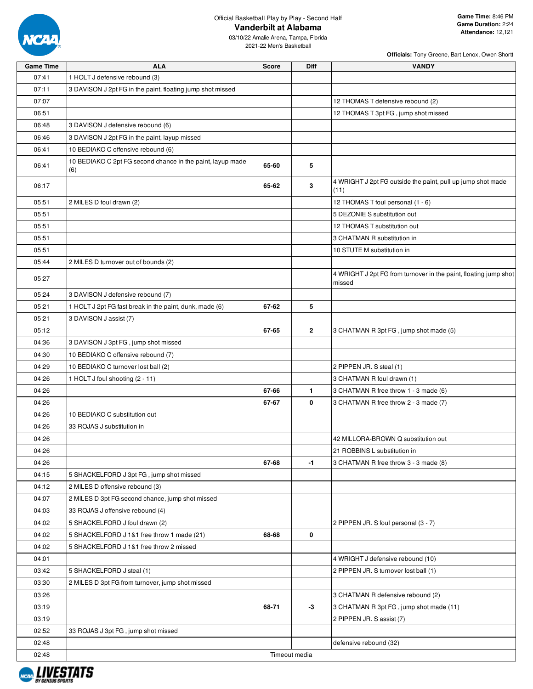

| <b>Game Time</b> | <b>ALA</b>                                                        | <b>Score</b> | Diff          | <b>VANDY</b>                                                               |
|------------------|-------------------------------------------------------------------|--------------|---------------|----------------------------------------------------------------------------|
| 07:41            | 1 HOLT J defensive rebound (3)                                    |              |               |                                                                            |
| 07:11            | 3 DAVISON J 2pt FG in the paint, floating jump shot missed        |              |               |                                                                            |
| 07:07            |                                                                   |              |               | 12 THOMAS T defensive rebound (2)                                          |
| 06:51            |                                                                   |              |               | 12 THOMAS T 3pt FG, jump shot missed                                       |
| 06:48            | 3 DAVISON J defensive rebound (6)                                 |              |               |                                                                            |
| 06:46            | 3 DAVISON J 2pt FG in the paint, layup missed                     |              |               |                                                                            |
| 06:41            | 10 BEDIAKO C offensive rebound (6)                                |              |               |                                                                            |
| 06:41            | 10 BEDIAKO C 2pt FG second chance in the paint, layup made<br>(6) | 65-60        | 5             |                                                                            |
| 06:17            |                                                                   | 65-62        | 3             | 4 WRIGHT J 2pt FG outside the paint, pull up jump shot made<br>(11)        |
| 05:51            | 2 MILES D foul drawn (2)                                          |              |               | 12 THOMAS T foul personal (1 - 6)                                          |
| 05:51            |                                                                   |              |               | 5 DEZONIE S substitution out                                               |
| 05:51            |                                                                   |              |               | 12 THOMAS T substitution out                                               |
| 05:51            |                                                                   |              |               | 3 CHATMAN R substitution in                                                |
| 05:51            |                                                                   |              |               | 10 STUTE M substitution in                                                 |
| 05:44            | 2 MILES D turnover out of bounds (2)                              |              |               |                                                                            |
| 05:27            |                                                                   |              |               | 4 WRIGHT J 2pt FG from turnover in the paint, floating jump shot<br>missed |
| 05:24            | 3 DAVISON J defensive rebound (7)                                 |              |               |                                                                            |
| 05:21            | 1 HOLT J 2pt FG fast break in the paint, dunk, made (6)           | 67-62        | 5             |                                                                            |
| 05:21            | 3 DAVISON J assist (7)                                            |              |               |                                                                            |
| 05:12            |                                                                   | 67-65        | $\mathbf{2}$  | 3 CHATMAN R 3pt FG, jump shot made (5)                                     |
| 04:36            | 3 DAVISON J 3pt FG, jump shot missed                              |              |               |                                                                            |
| 04:30            | 10 BEDIAKO C offensive rebound (7)                                |              |               |                                                                            |
| 04:29            | 10 BEDIAKO C turnover lost ball (2)                               |              |               | 2 PIPPEN JR. S steal (1)                                                   |
| 04:26            | 1 HOLT J foul shooting (2 - 11)                                   |              |               | 3 CHATMAN R foul drawn (1)                                                 |
| 04:26            |                                                                   | 67-66        | $\mathbf{1}$  | 3 CHATMAN R free throw 1 - 3 made (6)                                      |
| 04:26            |                                                                   | 67-67        | 0             | 3 CHATMAN R free throw 2 - 3 made (7)                                      |
| 04:26            | 10 BEDIAKO C substitution out                                     |              |               |                                                                            |
| 04:26            | 33 ROJAS J substitution in                                        |              |               |                                                                            |
| 04:26            |                                                                   |              |               | 42 MILLORA-BROWN Q substitution out                                        |
| 04:26            |                                                                   |              |               | 21 ROBBINS L substitution in                                               |
| 04:26            |                                                                   | 67-68        | $-1$          | 3 CHATMAN R free throw 3 - 3 made (8)                                      |
| 04:15            | 5 SHACKELFORD J 3pt FG, jump shot missed                          |              |               |                                                                            |
| 04:12            | 2 MILES D offensive rebound (3)                                   |              |               |                                                                            |
| 04:07            | 2 MILES D 3pt FG second chance, jump shot missed                  |              |               |                                                                            |
| 04:03            | 33 ROJAS J offensive rebound (4)                                  |              |               |                                                                            |
| 04:02            | 5 SHACKELFORD J foul drawn (2)                                    |              |               | 2 PIPPEN JR. S foul personal (3 - 7)                                       |
| 04:02            | 5 SHACKELFORD J 1&1 free throw 1 made (21)                        | 68-68        | 0             |                                                                            |
| 04:02            | 5 SHACKELFORD J 1&1 free throw 2 missed                           |              |               |                                                                            |
| 04:01            |                                                                   |              |               | 4 WRIGHT J defensive rebound (10)                                          |
| 03:42            | 5 SHACKELFORD J steal (1)                                         |              |               | 2 PIPPEN JR. S turnover lost ball (1)                                      |
| 03:30            | 2 MILES D 3pt FG from turnover, jump shot missed                  |              |               |                                                                            |
| 03:26            |                                                                   |              |               | 3 CHATMAN R defensive rebound (2)                                          |
| 03:19            |                                                                   | 68-71        | -3            | 3 CHATMAN R 3pt FG, jump shot made (11)                                    |
| 03:19            |                                                                   |              |               | 2 PIPPEN JR. S assist (7)                                                  |
| 02:52            | 33 ROJAS J 3pt FG, jump shot missed                               |              |               |                                                                            |
| 02:48            |                                                                   |              |               | defensive rebound (32)                                                     |
| 02:48            |                                                                   |              | Timeout media |                                                                            |

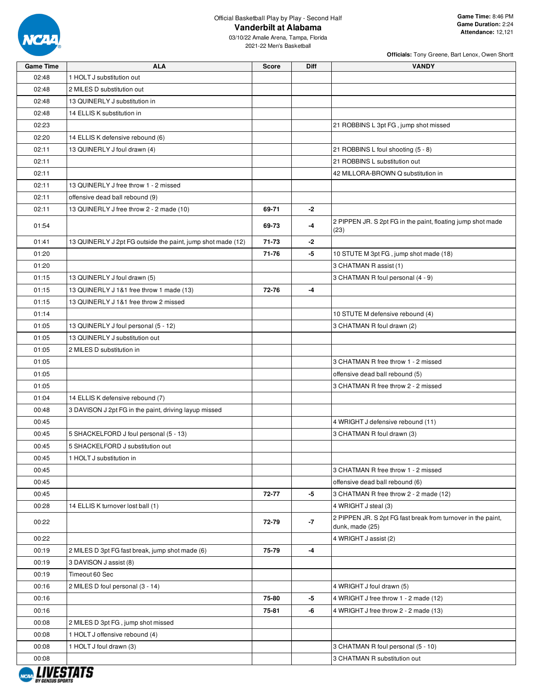

03/10/22 Amalie Arena, Tampa, Florida 2021-22 Men's Basketball

|                  | Officials: Tony Greene, Bart Lenox, Owen Shortt             |              |             |                                                                                 |  |  |  |  |  |  |
|------------------|-------------------------------------------------------------|--------------|-------------|---------------------------------------------------------------------------------|--|--|--|--|--|--|
| <b>Game Time</b> | <b>ALA</b>                                                  | <b>Score</b> | <b>Diff</b> | <b>VANDY</b>                                                                    |  |  |  |  |  |  |
| 02:48            | 1 HOLT J substitution out                                   |              |             |                                                                                 |  |  |  |  |  |  |
| 02:48            | 2 MILES D substitution out                                  |              |             |                                                                                 |  |  |  |  |  |  |
| 02:48            | 13 QUINERLY J substitution in                               |              |             |                                                                                 |  |  |  |  |  |  |
| 02:48            | 14 ELLIS K substitution in                                  |              |             |                                                                                 |  |  |  |  |  |  |
| 02:23            |                                                             |              |             | 21 ROBBINS L 3pt FG, jump shot missed                                           |  |  |  |  |  |  |
| 02:20            | 14 ELLIS K defensive rebound (6)                            |              |             |                                                                                 |  |  |  |  |  |  |
| 02:11            | 13 QUINERLY J foul drawn (4)                                |              |             | 21 ROBBINS L foul shooting (5 - 8)                                              |  |  |  |  |  |  |
| 02:11            |                                                             |              |             | 21 ROBBINS L substitution out                                                   |  |  |  |  |  |  |
| 02:11            |                                                             |              |             | 42 MILLORA-BROWN Q substitution in                                              |  |  |  |  |  |  |
| 02:11            | 13 QUINERLY J free throw 1 - 2 missed                       |              |             |                                                                                 |  |  |  |  |  |  |
| 02:11            | offensive dead ball rebound (9)                             |              |             |                                                                                 |  |  |  |  |  |  |
| 02:11            | 13 QUINERLY J free throw 2 - 2 made (10)                    | 69-71        | -2          |                                                                                 |  |  |  |  |  |  |
| 01:54            |                                                             | 69-73        | -4          | 2 PIPPEN JR. S 2pt FG in the paint, floating jump shot made<br>(23)             |  |  |  |  |  |  |
| 01:41            | 13 QUINERLY J 2pt FG outside the paint, jump shot made (12) | 71-73        | -2          |                                                                                 |  |  |  |  |  |  |
| 01:20            |                                                             | 71-76        | -5          | 10 STUTE M 3pt FG, jump shot made (18)                                          |  |  |  |  |  |  |
| 01:20            |                                                             |              |             | 3 CHATMAN R assist (1)                                                          |  |  |  |  |  |  |
| 01:15            | 13 QUINERLY J foul drawn (5)                                |              |             | 3 CHATMAN R foul personal (4 - 9)                                               |  |  |  |  |  |  |
| 01:15            | 13 QUINERLY J 1&1 free throw 1 made (13)                    | 72-76        | $-4$        |                                                                                 |  |  |  |  |  |  |
| 01:15            | 13 QUINERLY J 1&1 free throw 2 missed                       |              |             |                                                                                 |  |  |  |  |  |  |
| 01:14            |                                                             |              |             | 10 STUTE M defensive rebound (4)                                                |  |  |  |  |  |  |
| 01:05            | 13 QUINERLY J foul personal (5 - 12)                        |              |             | 3 CHATMAN R foul drawn (2)                                                      |  |  |  |  |  |  |
| 01:05            | 13 QUINERLY J substitution out                              |              |             |                                                                                 |  |  |  |  |  |  |
| 01:05            | 2 MILES D substitution in                                   |              |             |                                                                                 |  |  |  |  |  |  |
| 01:05            |                                                             |              |             | 3 CHATMAN R free throw 1 - 2 missed                                             |  |  |  |  |  |  |
| 01:05            |                                                             |              |             | offensive dead ball rebound (5)                                                 |  |  |  |  |  |  |
| 01:05            |                                                             |              |             | 3 CHATMAN R free throw 2 - 2 missed                                             |  |  |  |  |  |  |
| 01:04            | 14 ELLIS K defensive rebound (7)                            |              |             |                                                                                 |  |  |  |  |  |  |
| 00:48            | 3 DAVISON J 2pt FG in the paint, driving layup missed       |              |             |                                                                                 |  |  |  |  |  |  |
| 00:45            |                                                             |              |             | 4 WRIGHT J defensive rebound (11)                                               |  |  |  |  |  |  |
| 00:45            | 5 SHACKELFORD J foul personal (5 - 13)                      |              |             | 3 CHATMAN R foul drawn (3)                                                      |  |  |  |  |  |  |
| 00:45            | 5 SHACKELFORD J substitution out                            |              |             |                                                                                 |  |  |  |  |  |  |
| 00:45            | 1 HOLT J substitution in                                    |              |             |                                                                                 |  |  |  |  |  |  |
| 00:45            |                                                             |              |             | 3 CHATMAN R free throw 1 - 2 missed                                             |  |  |  |  |  |  |
| 00:45            |                                                             |              |             | offensive dead ball rebound (6)                                                 |  |  |  |  |  |  |
| 00:45            |                                                             | 72-77        | $-5$        | 3 CHATMAN R free throw 2 - 2 made (12)                                          |  |  |  |  |  |  |
| 00:28            | 14 ELLIS K turnover lost ball (1)                           |              |             | 4 WRIGHT J steal (3)                                                            |  |  |  |  |  |  |
| 00:22            |                                                             | 72-79        | $-7$        | 2 PIPPEN JR. S 2pt FG fast break from turnover in the paint,<br>dunk, made (25) |  |  |  |  |  |  |
| 00:22            |                                                             |              |             | 4 WRIGHT J assist (2)                                                           |  |  |  |  |  |  |
| 00:19            | 2 MILES D 3pt FG fast break, jump shot made (6)             | 75-79        | -4          |                                                                                 |  |  |  |  |  |  |
| 00:19            | 3 DAVISON J assist (8)                                      |              |             |                                                                                 |  |  |  |  |  |  |
| 00:19            | Timeout 60 Sec                                              |              |             |                                                                                 |  |  |  |  |  |  |
| 00:16            | 2 MILES D foul personal (3 - 14)                            |              |             | 4 WRIGHT J foul drawn (5)                                                       |  |  |  |  |  |  |
| 00:16            |                                                             | 75-80        | -5          | 4 WRIGHT J free throw 1 - 2 made (12)                                           |  |  |  |  |  |  |
| 00:16            |                                                             | 75-81        | -6          | 4 WRIGHT J free throw 2 - 2 made (13)                                           |  |  |  |  |  |  |
| 00:08            | 2 MILES D 3pt FG, jump shot missed                          |              |             |                                                                                 |  |  |  |  |  |  |
| 00:08            | 1 HOLT J offensive rebound (4)                              |              |             |                                                                                 |  |  |  |  |  |  |
| 00:08            | 1 HOLT J foul drawn (3)                                     |              |             | 3 CHATMAN R foul personal (5 - 10)                                              |  |  |  |  |  |  |
| 00:08            |                                                             |              |             | 3 CHATMAN R substitution out                                                    |  |  |  |  |  |  |
|                  |                                                             |              |             |                                                                                 |  |  |  |  |  |  |

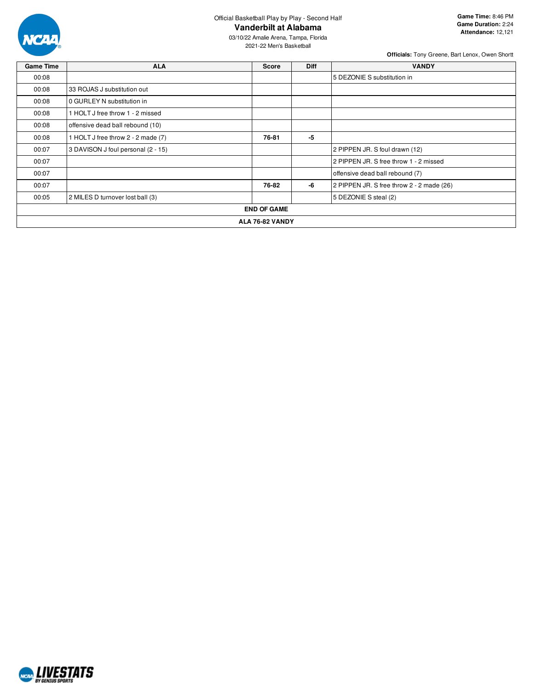

03/10/22 Amalie Arena, Tampa, Florida 2021-22 Men's Basketball

| <b>Game Time</b> | <b>ALA</b>                         | <b>Score</b>       | <b>Diff</b> | <b>VANDY</b>                              |  |  |  |  |  |
|------------------|------------------------------------|--------------------|-------------|-------------------------------------------|--|--|--|--|--|
| 00:08            |                                    |                    |             | 5 DEZONIE S substitution in               |  |  |  |  |  |
| 00:08            | 33 ROJAS J substitution out        |                    |             |                                           |  |  |  |  |  |
| 00:08            |                                    |                    |             |                                           |  |  |  |  |  |
| 00:08            | 1 HOLT J free throw 1 - 2 missed   |                    |             |                                           |  |  |  |  |  |
| 00:08            | offensive dead ball rebound (10)   |                    |             |                                           |  |  |  |  |  |
| 00:08            | 1 HOLT J free throw 2 - 2 made (7) | 76-81              | -5          |                                           |  |  |  |  |  |
| 00:07            | 3 DAVISON J foul personal (2 - 15) |                    |             | 2 PIPPEN JR. S foul drawn (12)            |  |  |  |  |  |
| 00:07            |                                    |                    |             | 2 PIPPEN JR. S free throw 1 - 2 missed    |  |  |  |  |  |
| 00:07            |                                    |                    |             | offensive dead ball rebound (7)           |  |  |  |  |  |
| 00:07            |                                    | 76-82              | -6          | 2 PIPPEN JR. S free throw 2 - 2 made (26) |  |  |  |  |  |
| 00:05            | 2 MILES D turnover lost ball (3)   |                    |             | 5 DEZONIE S steal (2)                     |  |  |  |  |  |
|                  |                                    | <b>END OF GAME</b> |             |                                           |  |  |  |  |  |
|                  | ALA 76-82 VANDY                    |                    |             |                                           |  |  |  |  |  |

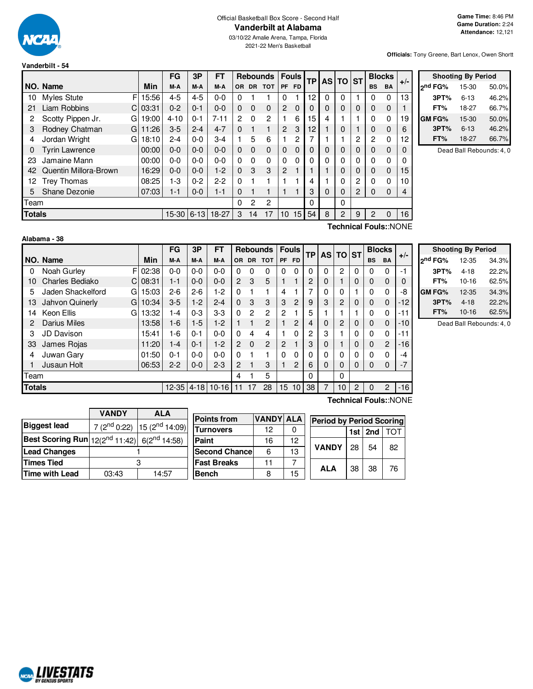

**Officials:** Tony Greene, Bart Lenox, Owen Shortt

| vangerbilt - 54 |
|-----------------|
|                 |
|                 |
| NO. Name        |

|               |                         |             | FG           | 3P      | FT       |           | Rebounds I |             |                 | <b>Fouls</b><br><b>TP</b> |    |   |          | AS TO ST    | <b>Blocks</b>  |           | $+/-$ |  |
|---------------|-------------------------|-------------|--------------|---------|----------|-----------|------------|-------------|-----------------|---------------------------|----|---|----------|-------------|----------------|-----------|-------|--|
|               | NO. Name                | Min         | M-A          | M-A     | M-A      | <b>OR</b> | <b>DR</b>  | <b>TOT</b>  | <b>PF</b>       | <b>FD</b>                 |    |   |          |             | <b>BS</b>      | <b>BA</b> |       |  |
| 10            | <b>Myles Stute</b>      | FI<br>15:56 | $4 - 5$      | $4 - 5$ | $0 - 0$  | 0         |            |             | 0               |                           | 12 | 0 | $\Omega$ |             | 0              | $\Omega$  | 13    |  |
| 21            | Liam Robbins<br>C I     | 03:31       | $0 - 2$      | $0 - 1$ | $0 - 0$  | $\Omega$  | 0          | $\mathbf 0$ | $\overline{2}$  | $\Omega$                  | 0  | O | 0        | $\mathbf 0$ | 0              | 0         |       |  |
| 2             | Scotty Pippen Jr.<br>GI | 19:00       | $4 - 10$     | $0 - 1$ | $7 - 11$ | 2         | 0          | 2           |                 | 6                         | 15 | 4 |          |             | 0              | 0         | 19    |  |
| З             | Rodney Chatman<br>GI    | 11:26       | $3-5$        | $2 - 4$ | $4 - 7$  | 0         |            |             | $\overline{2}$  | 3                         | 12 |   | 0        |             | 0              | 0         | 6     |  |
| 4             | Jordan Wright<br>GI     | 18:10       | $2 - 4$      | $0-0$   | $3-4$    |           | 5          | 6           |                 | 2                         |    |   |          | 2           | $\overline{c}$ | 0         | 12    |  |
| 0             | <b>Tyrin Lawrence</b>   | 00:00       | $0 - 0$      | $0-0$   | $0 - 0$  | $\Omega$  | 0          | $\Omega$    | $\Omega$        | $\Omega$                  | 0  | 0 | 0        | $\Omega$    | $\Omega$       | 0         | 0     |  |
| 23            | Jamaine Mann            | 00:00       | $0-0$        | $0-0$   | $0 - 0$  | $\Omega$  | 0          | 0           | 0               | $\Omega$                  | 0  | 0 | 0        | $\Omega$    | 0              | 0         | 0     |  |
| 42            | Quentin Millora-Brown   | 16:29       | $0-0$        | $0-0$   | $1-2$    | $\Omega$  | 3          | 3           | $\overline{2}$  |                           |    |   | 0        | $\Omega$    | $\Omega$       | 0         | 15    |  |
| 12            | <b>Trey Thomas</b>      | 08:25       | $1-3$        | $0 - 2$ | $2-2$    | 0         |            |             |                 |                           | 4  |   | 0        | 2           | 0              | 0         | 10    |  |
| 5.            | Shane Dezonie           | 07:03       | $1 - 1$      | $0-0$   | $1 - 1$  | $\Omega$  |            |             |                 |                           | 3  | 0 | 0        | 2           | $\Omega$       | 0         | 4     |  |
| Team          |                         |             |              |         |          | 0         | 2          | 2           |                 |                           | 0  |   | 0        |             |                |           |       |  |
| <b>Totals</b> |                         |             | $15-30$ 6-13 |         | 18-27    | 3         | 14         | 17          | 10 <sup>1</sup> | 15                        | 54 | 8 | 2        | 9           | $\overline{c}$ | $\Omega$  | 16    |  |
|               |                         |             |              |         |          |           |            |             |                 |                           |    |   |          |             |                |           |       |  |

| <b>Shooting By Period</b> |         |          |       |  |  |  |  |  |  |  |
|---------------------------|---------|----------|-------|--|--|--|--|--|--|--|
|                           | ond FG% | 15-30    | 50.0% |  |  |  |  |  |  |  |
|                           | 3PT%    | $6 - 13$ | 46.2% |  |  |  |  |  |  |  |
|                           | FT%     | 18-27    | 66.7% |  |  |  |  |  |  |  |
|                           | GM FG%  | 15-30    | 50.0% |  |  |  |  |  |  |  |
|                           | 3PT%    | $6 - 13$ | 46.2% |  |  |  |  |  |  |  |
|                           | FT%     | 18-27    | 66.7% |  |  |  |  |  |  |  |

Dead Ball Rebounds: 4, 0

| Alabama - 38 |  |
|--------------|--|
|--------------|--|

NCAL LIVESTATS

**Technical Fouls:**:NONE

|               |                        |       | FG      | 3P      | FT               |                |               | <b>Rebounds</b> |           | <b>Fouls</b>   |    | <b>TP AS TO</b> |                | <b>ST</b> | <b>Blocks</b>   |                | $+/-$ |
|---------------|------------------------|-------|---------|---------|------------------|----------------|---------------|-----------------|-----------|----------------|----|-----------------|----------------|-----------|-----------------|----------------|-------|
|               | NO. Name               | Min   | M-A     | M-A     | M-A              | OR.            | <b>DR</b>     | <b>TOT</b>      | <b>PF</b> | <b>FD</b>      |    |                 |                |           | <b>BS</b><br>BA |                |       |
| 0             | F<br>Noah Gurley       | 02:38 | $0-0$   | $0-0$   | $0 - 0$          | $\Omega$       | 0             | 0               | 0         | 0              | 0  | $\Omega$        | $\overline{c}$ | 0         | 0               | 0              | -1    |
| 10            | Charles Bediako<br>C.  | 08:31 | $1 - 1$ | $0 - 0$ | $0 - 0$          | $\overline{2}$ | 3             | 5               |           | 1              | 2  | 0               |                | 0         | 0               | 0              | 0     |
| 5             | Jaden Shackelford<br>G | 15:03 | $2-6$   | $2-6$   | 1-2              | $\Omega$       |               |                 | 4         |                | 7  | 0               | $\Omega$       |           | 0               | 0              | -8    |
| 13            | Jahvon Quinerly<br>G   | 10:34 | $3-5$   | $1-2$   | $2 - 4$          | 0              | 3             | 3               | 3         | $\overline{2}$ | 9  | 3               | 2              | 0         | 0               | 0              | $-12$ |
| 14            | Keon Ellis<br>G        | 13:32 | $ -4$   | $0 - 3$ | $3-3$            | 0              | $\mathcal{P}$ | 2               | 2         |                | 5  |                 |                |           | 0               | 0              | -11   |
| 2             | <b>Darius Miles</b>    | 13:58 | 1-6     | $1-5$   | $1-2$            |                |               | $\overline{2}$  |           | 2              | 4  | 0               | $\overline{c}$ | 0         | 0               | 0              | $-10$ |
| 3             | JD Davison             | 15:41 | -6      | $0 - 1$ | $0 - 0$          | $\Omega$       | 4             | 4               |           | 0              | 2  | 3               |                | 0         | 0               | 0              | -11   |
| 33            | James Rojas            | 11:20 | 1-4     | $0 - 1$ | $1-2$            | $\overline{2}$ | $\Omega$      | $\overline{2}$  | 2         |                | 3  | 0               |                | 0         | $\Omega$        | $\overline{2}$ | $-16$ |
| 4             | Juwan Gary             | 01:50 | $0 - 1$ | $0 - 0$ | $0 - 0$          | $\Omega$       |               |                 | 0         | 0              | 0  | 0               | $\Omega$       | 0         | $\mathbf{0}$    | 0              | -4    |
| Jusaun Holt   |                        | 06:53 | $2 - 2$ | $0-0$   | $2 - 3$          | 2              |               | 3               |           | 2              | 6  | 0               | $\Omega$       | 0         | 0               | 0              | $-7$  |
| Team          |                        |       |         |         | 4                |                | 5             |                 |           | 0              |    | $\Omega$        |                |           |                 |                |       |
| <b>Totals</b> |                        |       |         |         | 12-35 4-18 10-16 | 11             | 17            | 28              | 15        | 10             | 38 | 7               | 10             | 2         | $\mathbf 0$     | 2              | $-16$ |
|               | Technical Fouls::NONE  |       |         |         |                  |                |               |                 |           |                |    |                 |                |           |                 |                |       |

| <b>Shooting By Period</b> |           |       |  |  |  |  |  |  |  |  |  |
|---------------------------|-----------|-------|--|--|--|--|--|--|--|--|--|
| 2 <sup>nd</sup> FG%       | 12-35     | 34.3% |  |  |  |  |  |  |  |  |  |
| 3PT%                      | $4 - 18$  | 22.2% |  |  |  |  |  |  |  |  |  |
| FT%                       | $10 - 16$ | 62.5% |  |  |  |  |  |  |  |  |  |
| GM FG%                    | 12-35     | 34.3% |  |  |  |  |  |  |  |  |  |
| 3PT%                      | $4 - 18$  | 22.2% |  |  |  |  |  |  |  |  |  |
| FT%                       | $10 - 16$ | 62.5% |  |  |  |  |  |  |  |  |  |

Dead Ball Rebounds: 4, 0

| VANDY | ALA   | P                                                                                                                          |
|-------|-------|----------------------------------------------------------------------------------------------------------------------------|
|       |       | T                                                                                                                          |
|       |       | P                                                                                                                          |
|       |       | S                                                                                                                          |
|       |       | F,                                                                                                                         |
| 03:43 | 14:57 | в                                                                                                                          |
|       |       | 7 (2 <sup>nd</sup> 0:22) 15 (2 <sup>nd</sup> 14:09)<br>Best Scoring Run $ 12(2^{nd} 11:42) $ 6(2 <sup>nd</sup> 14:58)<br>з |

|  | <b>VANDY</b>                                      | <b>ALA</b>                                          |                      |                  |            |                                 |    |         |     |  |  |  |
|--|---------------------------------------------------|-----------------------------------------------------|----------------------|------------------|------------|---------------------------------|----|---------|-----|--|--|--|
|  |                                                   |                                                     | <b>Points from</b>   | <b>VANDY ALA</b> |            | <b>Period by Period Scoring</b> |    |         |     |  |  |  |
|  |                                                   | 7 (2 <sup>nd</sup> 0:22) 15 (2 <sup>nd</sup> 14:09) | <b>Turnovers</b>     | 12               | 0          |                                 |    | 1st 2nd | וסד |  |  |  |
|  | $\left  12(2^{nd} 11:42) \right  6(2^{nd} 14:58)$ |                                                     | Paint                | 12<br>16         |            |                                 |    |         |     |  |  |  |
|  |                                                   |                                                     | <b>Second Chance</b> | 6                | 13         | <b>VANDY</b>                    | 28 | 54      | 82  |  |  |  |
|  |                                                   | <b>Fast Breaks</b>                                  | 11                   |                  | <b>ALA</b> |                                 |    |         |     |  |  |  |
|  | 03:43                                             | 14:57                                               | <b>Bench</b>         | 8                | 15         |                                 | 38 | 38      | 76  |  |  |  |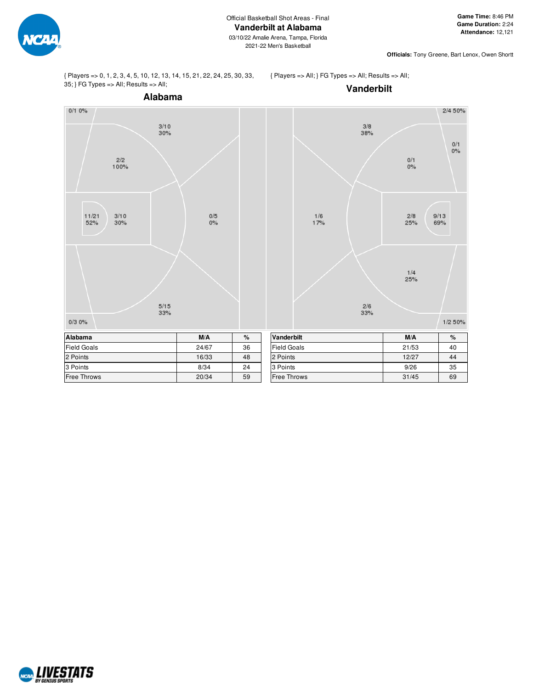

**Officials:** Tony Greene, Bart Lenox, Owen Shortt

{ Players => 0, 1, 2, 3, 4, 5, 10, 12, 13, 14, 15, 21, 22, 24, 25, 30, 33, 35; } FG Types => All; Results => All;

{ Players => All; } FG Types => All; Results => All;

**Vanderbilt**



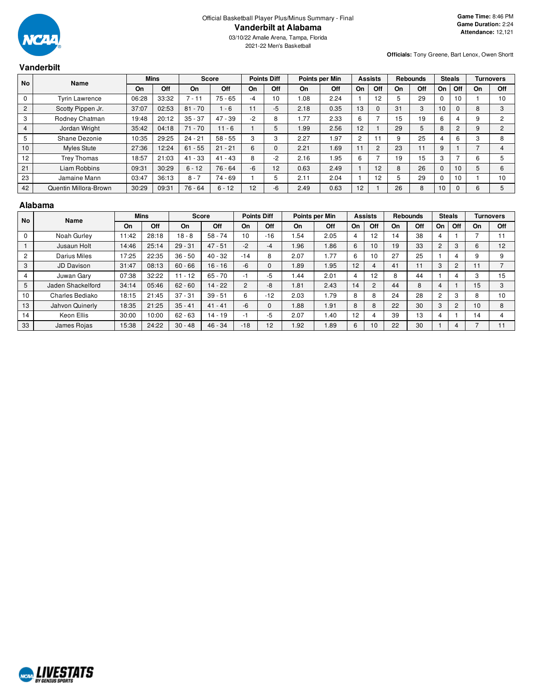

**Officials:** Tony Greene, Bart Lenox, Owen Shortt

#### **Vanderbilt No Name Mins Score Points Diff Points per Min Assists Rebounds Steals Turnovers On Off On Off On Off On Off On Off On Off On Off On Off** 0 | Tyrin Lawrence | 06:28 | 33:32 | 7 - 11 | 75 - 65 | -4 | 10 | 1.08 | 2.24 | 1 | 12 | 5 | 29 | 0 | 10 | 1 | 10 2 Scotty Pippen Jr. 37:07 | 02:53 | 81 - 70 | 1 - 6 | 11 | -5 | 2.18 | 0.35 | 13 | 0 | 31 | 3 | 10 | 0 | 8 | 3 3 | Rodney Chatman | 19:48 | 20:12 | 35 - 37 | 47 - 39 | -2 | 8 | 1.77 | 2.33 | 6 | 7 | 15 | 19 | 6 | 4 | 9 | 2 4 | Jordan Wright | 35:42 | 04:18 | 71 - 70 | 11 - 6 | 1 | 5 | 1.99 | 2.56 | 12 | 1 | 29 | 5 | 8 | 2 | 9 | 2 5 | Shane Dezonie | 10:35 | 29:25 | 24 - 21 | 58 - 55 | 3 | 3 | 2.27 | 1.97 | 2 | 11 | 9 | 25 | 4 | 6 | 3 | 8 10 | Myles Stute | 27:36 | 12:24 | 61 - 55 | 21 - 21 | 6 | 0 | 2.21 | 1.69 | 11 | 2 | 23 | 11 | 9 | 1 | 7 | 4 12 | Trey Thomas | 18:57 | 21:03 | 41 - 33 | 41 - 43 | 8 | -2 | 2.16 | 1.95 | 6 | 7 | 19 | 15 | 3 | 7 | 6 | 5 21 | Liam Robbins | 09:31 | 30:29 | 6 - 12 | 76 - 64 | -6 | 12 | 0.63 | 2.49 | 1 | 12 | 8 | 26 | 0 | 10 | 5 | 6 23 | Jamaine Mann | 03:47 | 36:13 | 8 - 7 | 74 - 69 | 1 | 5 | 2.11 | 2.04 | 1 | 12 | 5 | 29 | 0 | 10 | 1 | 10 42 Quentin Millora-Brown 30:29 09:31 76 - 64 6 - 12 12 - 6 2.49 0.63 12 1 26 8 10 0 6 5

#### **Alabama**

| <b>No</b>      | Name              |           | <b>Mins</b> |           | <b>Score</b> |                | <b>Points Diff</b> |           | Points per Min |    | <b>Assists</b> |    | <b>Rebounds</b> |    | <b>Steals</b>  |    | Turnovers  |
|----------------|-------------------|-----------|-------------|-----------|--------------|----------------|--------------------|-----------|----------------|----|----------------|----|-----------------|----|----------------|----|------------|
|                |                   | <b>On</b> | Off         | On        | <b>Off</b>   | On             | Off                | <b>On</b> | Off            | On | Off            | On | Off             | On | Off            | On | <b>Off</b> |
| $\mathbf 0$    | Noah Gurley       | 11:42     | 28:18       | $18 - 8$  | $58 - 74$    | 10             | $-16$              | .54       | 2.05           | 4  | 12             | 14 | 38              | 4  |                |    | 11         |
|                | Jusaun Holt       | 14:46     | 25:14       | $29 - 31$ | $47 - 51$    | $-2$           | -4                 | 1.96      | 1.86           | 6  | 10             | 19 | 33              | 2  | 3              | 6  | 12         |
| $\overline{2}$ | Darius Miles      | 17:25     | 22:35       | $36 - 50$ | $40 - 32$    | $-14$          | 8                  | 2.07      | 1.77           | 6  | 10             | 27 | 25              |    | 4              | 9  | 9          |
| 3              | <b>JD Davison</b> | 31:47     | 08:13       | $60 - 66$ | $16 - 16$    | -6             |                    | 1.89      | 1.95           | 12 | 4              | 41 | 11              | 3  | $\overline{c}$ | 11 |            |
| $\overline{4}$ | Juwan Gary        | 07:38     | 32:22       | $11 - 12$ | $65 - 70$    | -1             | $-5$               | 1.44      | 2.01           | 4  | 12             | 8  | 44              |    | 4              | C  | 15         |
| 5              | Jaden Shackelford | 34:14     | 05:46       | $62 - 60$ | $14 - 22$    | $\overline{2}$ | $-8$               | 1.81      | 2.43           | 14 | 2              | 44 | 8               | 4  |                | 15 | 3          |
| 10             | Charles Bediako   | 18:15     | 21:45       | $37 - 31$ | $39 - 51$    | 6              | $-12$              | 2.03      | 1.79           | 8  | 8              | 24 | 28              | 2  | 3              | 8  | 10         |
| 13             | Jahvon Quinerly   | 18:35     | 21:25       | $35 - 41$ | $41 - 41$    | -6             |                    | 1.88      | 1.91           | 8  | 8              | 22 | 30              | 3  | $\overline{2}$ | 10 | 8          |
| 14             | Keon Ellis        | 30:00     | 10:00       | $62 - 63$ | $14 - 19$    | -1             | -5                 | 2.07      | 1.40           | 12 | 4              | 39 | 13              | 4  |                | 14 |            |
| 33             | James Rojas       | 15:38     | 24:22       | $30 - 48$ | $46 - 34$    | $-18$          | 12                 | 1.92      | 1.89           | 6  | 10             | 22 | 30              |    | 4              |    | 11         |

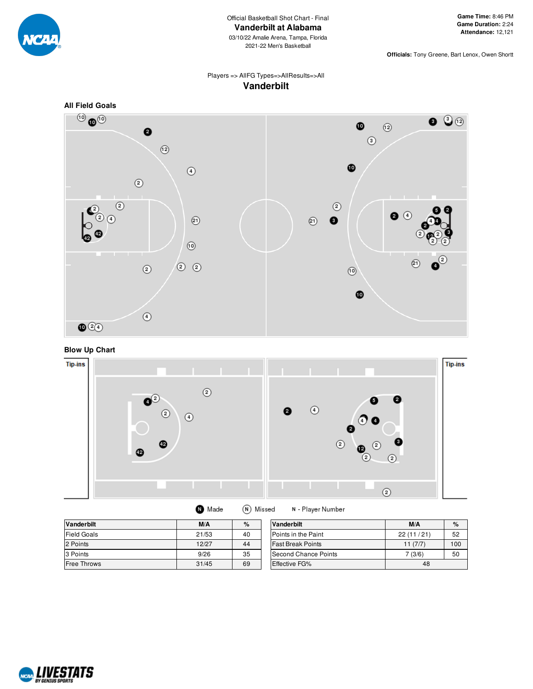

**Officials:** Tony Greene, Bart Lenox, Owen Shortt

# Players => AllFG Types=>AllResults=>All **Vanderbilt**







| <b>Vanderbilt</b>  | M/A   | $\%$ | <b>Vanderbilt</b>        | M/A       | $\%$ |
|--------------------|-------|------|--------------------------|-----------|------|
| <b>Field Goals</b> | 21/53 | 40   | Points in the Paint      | 22(11/21) | 52   |
| 2 Points           | 12/27 | 44   | <b>Fast Break Points</b> | 11(7/7)   | 100  |
| 3 Points           | 9/26  | 35   | Second Chance Points     | (3/6)     | 50   |
| <b>Free Throws</b> | 31/45 | 69   | <b>Effective FG%</b>     | 48        |      |

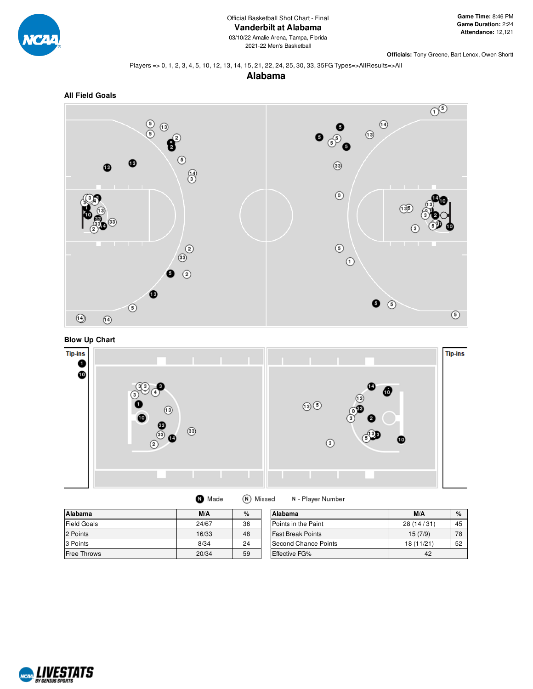

**Officials:** Tony Greene, Bart Lenox, Owen Shortt

#### Players => 0, 1, 2, 3, 4, 5, 10, 12, 13, 14, 15, 21, 22, 24, 25, 30, 33, 35FG Types=>AllResults=>All

**Alabama**







|  | Made |  | $(N)$ Missed |
|--|------|--|--------------|
|--|------|--|--------------|

N - Player Number

| Alabama            | M/A   | $\%$ | Alabama                  | M/A        | %  |
|--------------------|-------|------|--------------------------|------------|----|
| <b>Field Goals</b> | 24/67 | 36   | Points in the Paint      | 28(14/31)  | 45 |
| 2 Points           | 16/33 | 48   | <b>Fast Break Points</b> | 15(7/9)    | 78 |
| 3 Points           | 8/34  | 24   | Second Chance Points     | 18 (11/21) | 52 |
| <b>Free Throws</b> | 20/34 | 59   | <b>Effective FG%</b>     | 42         |    |

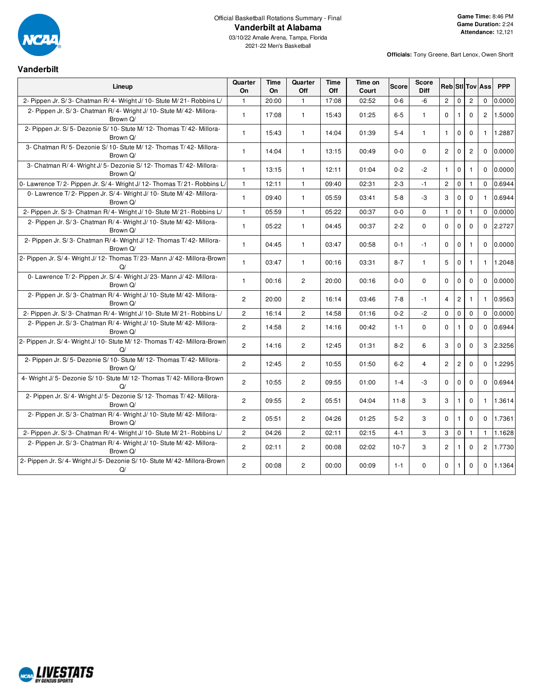

# Official Basketball Rotations Summary - Final **Vanderbilt at Alabama**

03/10/22 Amalie Arena, Tampa, Florida 2021-22 Men's Basketball

 $\overline{\phantom{0}}$ 

**Officials:** Tony Greene, Bart Lenox, Owen Shortt

#### **Vanderbilt**

| Lineup                                                                             | Quarter<br>On         | <b>Time</b><br>On | Quarter<br>Off        | <b>Time</b><br>Off | Time on<br>Court | <b>Score</b> | <b>Score</b><br>Diff |                |                |                | <b>Reb</b> StilTov Ass | <b>PPP</b> |
|------------------------------------------------------------------------------------|-----------------------|-------------------|-----------------------|--------------------|------------------|--------------|----------------------|----------------|----------------|----------------|------------------------|------------|
| 2- Pippen Jr. S/3- Chatman R/4- Wright J/10- Stute M/21- Robbins L/                | $\mathbf{1}$          | 20:00             | $\mathbf{1}$          | 17:08              | 02:52            | $0 - 6$      | $-6$                 | $\overline{2}$ | $\mathbf{0}$   | $\overline{2}$ | $\mathbf 0$            | 0.0000     |
| 2- Pippen Jr. S/3- Chatman R/4- Wright J/10- Stute M/42- Millora-<br>Brown Q/      | $\mathbf{1}$          | 17:08             | $\mathbf{1}$          | 15:43              | 01:25            | $6 - 5$      | $\mathbf{1}$         | $\mathbf 0$    | $\mathbf{1}$   | $\Omega$       | $\overline{2}$         | 1.5000     |
| 2- Pippen Jr. S/ 5- Dezonie S/ 10- Stute M/ 12- Thomas T/ 42- Millora-<br>Brown Q/ | $\mathbf{1}$          | 15:43             | $\mathbf{1}$          | 14:04              | 01:39            | $5 - 4$      | $\mathbf{1}$         | $\mathbf{1}$   | $\mathbf 0$    | $\mathbf 0$    | $\mathbf{1}$           | 1.2887     |
| 3- Chatman R/5- Dezonie S/10- Stute M/12- Thomas T/42- Millora-<br>Brown Q/        | $\mathbf{1}$          | 14:04             | $\mathbf{1}$          | 13:15              | 00:49            | $0-0$        | $\Omega$             | $\overline{2}$ | $\mathbf 0$    | $\overline{c}$ | $\Omega$               | 0.0000     |
| 3- Chatman R/4- Wright J/5- Dezonie S/12- Thomas T/42- Millora-<br>Brown Q/        | $\mathbf{1}$          | 13:15             | $\mathbf{1}$          | 12:11              | 01:04            | $0 - 2$      | $-2$                 | $\mathbf{1}$   | $\mathbf 0$    | $\overline{1}$ | $\Omega$               | 0.0000     |
| 0- Lawrence T/2- Pippen Jr. S/4- Wright J/12- Thomas T/21- Robbins L/              | $\mathbf{1}$          | 12:11             | $\mathbf{1}$          | 09:40              | 02:31            | $2 - 3$      | $-1$                 | $\overline{2}$ | $\mathbf 0$    | $\mathbf{1}$   | $\Omega$               | 0.6944     |
| 0- Lawrence T/2- Pippen Jr. S/4- Wright J/10- Stute M/42- Millora-<br>Brown Q/     | $\mathbf{1}$          | 09:40             | $\mathbf{1}$          | 05:59              | 03:41            | $5 - 8$      | -3                   | 3              | $\mathbf 0$    | $\mathbf 0$    | $\mathbf{1}$           | 0.6944     |
| 2- Pippen Jr. S/3- Chatman R/4- Wright J/10- Stute M/21- Robbins L/                | $\mathbf{1}$          | 05:59             | $\mathbf{1}$          | 05:22              | 00:37            | $0 - 0$      | $\Omega$             | $\mathbf{1}$   | $\mathbf 0$    | $\mathbf{1}$   | $\Omega$               | 0.0000     |
| 2- Pippen Jr. S/3- Chatman R/4- Wright J/10- Stute M/42- Millora-<br>Brown Q/      | $\mathbf{1}$          | 05:22             | $\mathbf{1}$          | 04:45              | 00:37            | $2 - 2$      | $\Omega$             | $\Omega$       | $\mathbf 0$    | $\mathbf 0$    | $\Omega$               | 2.2727     |
| 2- Pippen Jr. S/3- Chatman R/4- Wright J/12- Thomas T/42- Millora-<br>Brown Q/     | $\mathbf{1}$          | 04:45             | $\mathbf{1}$          | 03:47              | 00:58            | $0 - 1$      | $-1$                 | $\mathbf 0$    | $\mathbf 0$    | $\mathbf{1}$   | $\Omega$               | 0.0000     |
| 2- Pippen Jr. S/4- Wright J/12- Thomas T/23- Mann J/42- Millora-Brown<br>$\Omega$  | $\mathbf{1}$          | 03:47             | $\mathbf{1}$          | 00:16              | 03:31            | $8 - 7$      | $\mathbf{1}$         | 5              | $\mathbf 0$    | $\overline{1}$ | $\mathbf{1}$           | 1.2048     |
| 0- Lawrence T/2- Pippen Jr. S/4- Wright J/23- Mann J/42- Millora-<br>Brown Q/      | $\mathbf{1}$          | 00:16             | $\overline{2}$        | 20:00              | 00:16            | $0-0$        | 0                    | $\mathbf 0$    | $\mathbf 0$    | $\mathbf 0$    | $\Omega$               | 0.0000     |
| 2- Pippen Jr. S/3- Chatman R/4- Wright J/10- Stute M/42- Millora-<br>Brown Q/      | $\overline{2}$        | 20:00             | $\overline{2}$        | 16:14              | 03:46            | $7 - 8$      | $-1$                 | $\overline{4}$ | $\overline{2}$ | $\mathbf{1}$   | $\mathbf{1}$           | 0.9563     |
| 2- Pippen Jr. S/3- Chatman R/4- Wright J/10- Stute M/21- Robbins L/                | $\overline{2}$        | 16:14             | $\overline{c}$        | 14:58              | 01:16            | $0 - 2$      | $-2$                 | $\mathbf 0$    | $\mathbf 0$    | $\mathbf 0$    | $\Omega$               | 0.0000     |
| 2- Pippen Jr. S/3- Chatman R/4- Wright J/10- Stute M/42- Millora-<br>Brown Q/      | $\overline{2}$        | 14:58             | $\overline{2}$        | 14:16              | 00:42            | $1 - 1$      | $\Omega$             | $\Omega$       | $\mathbf{1}$   | $\Omega$       | $\Omega$               | 0.6944     |
| 2- Pippen Jr. S/ 4- Wright J/ 10- Stute M/ 12- Thomas T/ 42- Millora-Brown<br>Q/   | $\overline{c}$        | 14:16             | $\mathbf{2}^{\prime}$ | 12:45              | 01:31            | $8 - 2$      | 6                    | 3              | $\mathbf 0$    | $\mathbf 0$    | 3                      | 2.3256     |
| 2- Pippen Jr. S/ 5- Dezonie S/ 10- Stute M/ 12- Thomas T/ 42- Millora-<br>Brown Q/ | $\mathbf{2}^{\prime}$ | 12:45             | $\overline{2}$        | 10:55              | 01:50            | $6 - 2$      | $\overline{4}$       | $\overline{c}$ | $\sqrt{2}$     | $\mathbf 0$    | $\mathbf 0$            | 1.2295     |
| 4- Wright J/ 5- Dezonie S/ 10- Stute M/ 12- Thomas T/ 42- Millora-Brown<br>Q/      | $\overline{2}$        | 10:55             | $\overline{2}$        | 09:55              | 01:00            | $1 - 4$      | $-3$                 | $\mathbf 0$    | $\mathbf 0$    | $\mathbf{0}$   | $\Omega$               | 0.6944     |
| 2- Pippen Jr. S/4- Wright J/5- Dezonie S/12- Thomas T/42- Millora-<br>Brown Q/     | $\overline{2}$        | 09:55             | $\overline{2}$        | 05:51              | 04:04            | $11 - 8$     | 3                    | 3              | $\mathbf{1}$   | $\mathbf 0$    | $\mathbf{1}$           | 1.3614     |
| 2- Pippen Jr. S/3- Chatman R/4- Wright J/10- Stute M/42- Millora-<br>Brown Q/      | $\overline{2}$        | 05:51             | $\overline{2}$        | 04:26              | 01:25            | $5 - 2$      | 3                    | $\Omega$       | $\mathbf{1}$   | $\mathbf 0$    | $\Omega$               | 1.7361     |
| 2- Pippen Jr. S/3- Chatman R/4- Wright J/10- Stute M/21- Robbins L/                | $\mathbf{2}^{\prime}$ | 04:26             | $\overline{2}$        | 02:11              | 02:15            | $4 - 1$      | 3                    | 3              | $\mathsf 0$    | $\mathbf{1}$   | $\mathbf{1}$           | 1.1628     |
| 2- Pippen Jr. S/3- Chatman R/4- Wright J/10- Stute M/42- Millora-<br>Brown Q/      | $\mathbf{2}^{\prime}$ | 02:11             | $\overline{c}$        | 00:08              | 02:02            | $10-7$       | 3                    | $\overline{c}$ | $\mathbf{1}$   | $\mathbf 0$    | $\overline{2}$         | 1.7730     |
| 2- Pippen Jr. S/ 4- Wright J/ 5- Dezonie S/ 10- Stute M/ 42- Millora-Brown<br>Q/   | $\overline{2}$        | 00:08             | $\overline{2}$        | 00:00              | 00:09            | $1 - 1$      | 0                    | $\mathbf 0$    | $\mathbf{1}$   | $\mathbf 0$    | $\mathbf 0$            | 1.1364     |

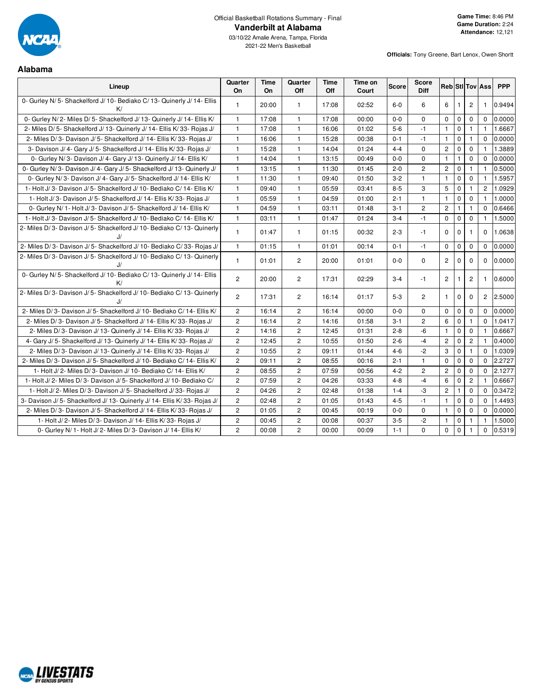

# Official Basketball Rotations Summary - Final **Vanderbilt at Alabama**

03/10/22 Amalie Arena, Tampa, Florida 2021-22 Men's Basketball

**Alabama**

| мирипе                                                                    |                |                   |                |                    |                  |              |                             |                       |                |                |                        |            |
|---------------------------------------------------------------------------|----------------|-------------------|----------------|--------------------|------------------|--------------|-----------------------------|-----------------------|----------------|----------------|------------------------|------------|
| Lineup                                                                    | Quarter<br>On  | <b>Time</b><br>On | Quarter<br>Off | <b>Time</b><br>Off | Time on<br>Court | <b>Score</b> | <b>Score</b><br><b>Diff</b> |                       |                |                | <b>Reb</b> StilTov Ass | <b>PPP</b> |
| 0- Gurley N/5- Shackelford J/10- Bediako C/13- Quinerly J/14- Ellis<br>K/ | $\mathbf{1}$   | 20:00             | $\mathbf{1}$   | 17:08              | 02:52            | $6-0$        | 6                           | 6                     | $\overline{1}$ | $\overline{2}$ | $\mathbf{1}$           | 0.9494     |
| 0- Gurley N/2- Miles D/5- Shackelford J/13- Quinerly J/14- Ellis K/       | $\mathbf{1}$   | 17:08             | $\mathbf{1}$   | 17:08              | 00:00            | $0 - 0$      | $\Omega$                    | $\Omega$              | $\mathbf 0$    | $\mathbf 0$    | $\Omega$               | 0.0000     |
| 2- Miles D/5- Shackelford J/13- Quinerly J/14- Ellis K/33- Rojas J/       | $\mathbf{1}$   | 17:08             | $\mathbf{1}$   | 16:06              | 01:02            | $5-6$        | -1                          | $\mathbf{1}$          | $\mathbf 0$    | $\mathbf{1}$   | 1.                     | 1.6667     |
| 2- Miles D/3- Davison J/5- Shackelford J/14- Ellis K/33- Rojas J/         | $\mathbf{1}$   | 16:06             | $\mathbf{1}$   | 15:28              | 00:38            | $0 - 1$      | $-1$                        | $\mathbf{1}$          | $\mathbf 0$    | $\mathbf{1}$   | $\mathbf 0$            | 0.0000     |
| 3- Davison J/4- Gary J/5- Shackelford J/14- Ellis K/33- Rojas J/          | $\mathbf{1}$   | 15:28             | $\mathbf{1}$   | 14:04              | 01:24            | $4 - 4$      | $\mathbf 0$                 | $\overline{c}$        | $\mathbf 0$    | $\mathbf 0$    | $\mathbf{1}$           | 1.3889     |
| 0- Gurley N/3- Davison J/4- Gary J/13- Quinerly J/14- Ellis K/            | $\mathbf{1}$   | 14:04             | $\mathbf{1}$   | 13:15              | 00:49            | $0 - 0$      | $\Omega$                    | $\mathbf{1}$          | $\mathbf{1}$   | $\mathbf 0$    | $\Omega$               | 0.0000     |
| 0- Gurley N/3- Davison J/4- Gary J/5- Shackelford J/13- Quinerly J/       | $\mathbf{1}$   | 13:15             | $\mathbf{1}$   | 11:30              | 01:45            | $2 - 0$      | $\overline{c}$              | $\overline{c}$        | $\mathbf 0$    | $\mathbf{1}$   | $\mathbf{1}$           | 0.5000     |
| 0- Gurley N/3- Davison J/4- Gary J/5- Shackelford J/14- Ellis K/          | $\mathbf{1}$   | 11:30             | $\mathbf{1}$   | 09:40              | 01:50            | $3 - 2$      | $\mathbf{1}$                | $\mathbf{1}$          | $\mathbf 0$    | $\mathbf 0$    | $\mathbf{1}$           | 1.5957     |
| 1- Holt J/3- Davison J/5- Shackelford J/10- Bediako C/14- Ellis K/        | $\mathbf{1}$   | 09:40             | $\mathbf{1}$   | 05:59              | 03:41            | $8 - 5$      | 3                           | 5                     | $\mathbf 0$    | $\mathbf{1}$   | $\overline{2}$         | 1.0929     |
| 1- Holt J/3- Davison J/5- Shackelford J/14- Ellis K/33- Rojas J/          | $\mathbf{1}$   | 05:59             | $\mathbf{1}$   | 04:59              | 01:00            | $2 - 1$      | $\mathbf{1}$                | $\mathbf{1}$          | $\mathbf 0$    | 0              | 1.                     | 1.0000     |
| 0- Gurley N/ 1- Holt J/ 3- Davison J/ 5- Shackelford J/ 14- Ellis K/      | $\mathbf{1}$   | 04:59             | $\mathbf{1}$   | 03:11              | 01:48            | $3 - 1$      | $\mathbf{2}^{\prime}$       | $\mathbf{2}$          | $\mathbf{1}$   | 1              | $\Omega$               | 0.6466     |
| 1- Holt J/3- Davison J/5- Shackelford J/10- Bediako C/14- Ellis K/        | $\mathbf{1}$   | 03:11             | $\mathbf{1}$   | 01:47              | 01:24            | $3 - 4$      | $-1$                        | $\mathsf 0$           | $\mathsf 0$    | $\mathbf 0$    | $\mathbf{1}$           | 1.5000     |
| 2- Miles D/3- Davison J/5- Shackelford J/10- Bediako C/13- Quinerly<br>J/ | $\mathbf{1}$   | 01:47             | $\mathbf{1}$   | 01:15              | 00:32            | $2 - 3$      | $-1$                        | $\Omega$              | $\Omega$       | $\mathbf{1}$   | $\Omega$               | 1.0638     |
| 2- Miles D/3- Davison J/5- Shackelford J/10- Bediako C/33- Rojas J/       | $\mathbf{1}$   | 01:15             | $\mathbf{1}$   | 01:01              | 00:14            | $0 - 1$      | $-1$                        | 0                     | $\mathbf 0$    | 0              | $\Omega$               | 0.0000     |
| 2- Miles D/3- Davison J/5- Shackelford J/10- Bediako C/13- Quinerly<br>J/ | $\mathbf{1}$   | 01:01             | $\overline{2}$ | 20:00              | 01:01            | $0-0$        | $\mathbf{0}$                | $\mathbf{2}$          | $\mathbf 0$    | $\mathbf 0$    | $\Omega$               | 0.0000     |
| 0- Gurley N/5- Shackelford J/10- Bediako C/13- Quinerly J/14- Ellis<br>K/ | $\overline{2}$ | 20:00             | $\overline{2}$ | 17:31              | 02:29            | $3 - 4$      | $-1$                        | $\mathbf{2}^{\prime}$ | $\mathbf{1}$   | $\overline{2}$ | $\mathbf{1}$           | 0.6000     |
| 2- Miles D/3- Davison J/5- Shackelford J/10- Bediako C/13- Quinerly<br>J/ | $\overline{2}$ | 17:31             | $\overline{2}$ | 16:14              | 01:17            | $5-3$        | 2                           | $\mathbf{1}$          | $\mathbf 0$    | $\mathbf 0$    | $\overline{2}$         | 2.5000     |
| 2- Miles D/3- Davison J/5- Shackelford J/10- Bediako C/14- Ellis K/       | $\overline{2}$ | 16:14             | $\overline{c}$ | 16:14              | 00:00            | $0 - 0$      | $\mathbf 0$                 | 0                     | $\mathbf 0$    | $\mathbf 0$    | $\Omega$               | 0.0000     |
| 2- Miles D/3- Davison J/5- Shackelford J/14- Ellis K/33- Rojas J/         | $\overline{2}$ | 16:14             | $\mathbf{2}$   | 14:16              | 01:58            | $3 - 1$      | $\overline{2}$              | 6                     | $\mathbf 0$    | $\mathbf{1}$   | $\Omega$               | 1.0417     |
| 2- Miles D/3- Davison J/13- Quinerly J/14- Ellis K/33- Rojas J/           | $\overline{2}$ | 14:16             | $\mathbf{2}$   | 12:45              | 01:31            | $2 - 8$      | $-6$                        | $\mathbf{1}$          | $\mathbf 0$    | $\mathbf 0$    | $\mathbf{1}$           | 0.6667     |
| 4- Gary J/ 5- Shackelford J/ 13- Quinerly J/ 14- Ellis K/ 33- Rojas J/    | $\overline{2}$ | 12:45             | $\overline{c}$ | 10:55              | 01:50            | $2 - 6$      | $-4$                        | $\overline{c}$        | $\mathbf 0$    | $\overline{c}$ | $\mathbf{1}$           | 0.4000     |
| 2- Miles D/3- Davison J/13- Quinerly J/14- Ellis K/33- Rojas J/           | $\overline{c}$ | 10:55             | $\mathbf{2}$   | 09:11              | 01:44            | $4 - 6$      | $-2$                        | 3                     | $\mathsf 0$    | $\mathbf{1}$   | $\Omega$               | 1.0309     |
| 2- Miles D/3- Davison J/5- Shackelford J/10- Bediako C/14- Ellis K/       | $\overline{c}$ | 09:11             | $\mathbf{2}$   | 08:55              | 00:16            | $2 - 1$      | $\mathbf{1}$                | 0                     | $\mathbf 0$    | 0              | $\mathbf 0$            | 2.2727     |
| 1- Holt J/2- Miles D/3- Davison J/10- Bediako C/14- Ellis K/              | $\overline{2}$ | 08:55             | $\mathbf{2}$   | 07:59              | 00:56            | $4 - 2$      | $\overline{2}$              | $\overline{2}$        | $\mathbf 0$    | $\mathbf 0$    | $\Omega$               | 2.1277     |
| 1- Holt J/2- Miles D/3- Davison J/5- Shackelford J/10- Bediako C/         | $\overline{c}$ | 07:59             | $\overline{2}$ | 04:26              | 03:33            | $4 - 8$      | $-4$                        | 6                     | $\mathbf 0$    | $\overline{c}$ | $\mathbf{1}$           | 0.6667     |
| 1- Holt J/2- Miles D/3- Davison J/5- Shackelford J/33- Rojas J/           | $\overline{2}$ | 04:26             | $\mathbf{2}$   | 02:48              | 01:38            | $1 - 4$      | -3                          | $\overline{c}$        | $\mathbf{1}$   | $\mathbf 0$    | $\Omega$               | 0.3472     |
| 3- Davison J/ 5- Shackelford J/ 13- Quinerly J/ 14- Ellis K/ 33- Rojas J/ | $\mathbf{2}$   | 02:48             | $\mathbf{2}$   | 01:05              | 01:43            | $4 - 5$      | $-1$                        | $\mathbf{1}$          | $\mathsf 0$    | 0              | $\Omega$               | 1.4493     |
| 2- Miles D/3- Davison J/5- Shackelford J/14- Ellis K/33- Rojas J/         | $\overline{c}$ | 01:05             | $\mathbf{2}$   | 00:45              | 00:19            | $0-0$        | 0                           | $\mathbf{1}$          | $\mathbf 0$    | 0              | $\mathbf 0$            | 0.0000     |
| 1- Holt J/2- Miles D/3- Davison J/14- Ellis K/33- Rojas J/                | 2              | 00:45             | $\mathbf{2}$   | 00:08              | 00:37            | $3-5$        | $-2$                        | $\mathbf{1}$          | $\mathbf 0$    | $\mathbf{1}$   | $\mathbf{1}$           | 1.5000     |
| 0- Gurley N/ 1- Holt J/ 2- Miles D/ 3- Davison J/ 14- Ellis K/            | $\overline{c}$ | 00:08             | $\overline{c}$ | 00:00              | 00:09            | $1 - 1$      | $\mathbf 0$                 | $\mathbf 0$           | $\mathbf 0$    | $\mathbf{1}$   | $\mathbf 0$            | 0.5319     |

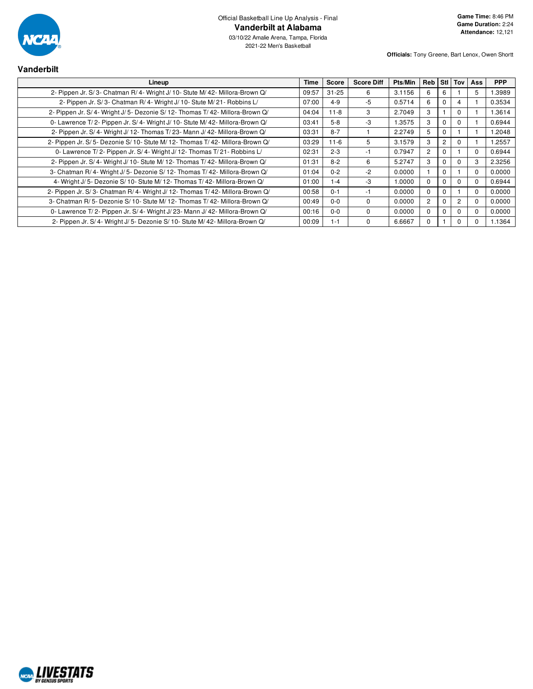

| <b>Vanderbilt</b>                                                          |       |              |                   |         |                |          |                |          |            |
|----------------------------------------------------------------------------|-------|--------------|-------------------|---------|----------------|----------|----------------|----------|------------|
| Lineup                                                                     | Time  | <b>Score</b> | <b>Score Diff</b> | Pts/Min | Reb            |          | Stl Tov        | Ass      | <b>PPP</b> |
| 2- Pippen Jr. S/3- Chatman R/4- Wright J/10- Stute M/42- Millora-Brown Q/  | 09:57 | $31 - 25$    | 6                 | 3.1156  | 6              | 6.       |                | 5        | 1.3989     |
| 2- Pippen Jr. S/3- Chatman R/4- Wright J/10- Stute M/21- Robbins L/        | 07:00 | $4 - 9$      | $-5$              | 0.5714  | 6              |          | 4              |          | 0.3534     |
| 2- Pippen Jr. S/4- Wright J/5- Dezonie S/12- Thomas T/42- Millora-Brown Q/ | 04:04 | $11 - 8$     | 3                 | 2.7049  | 3              |          | $\Omega$       |          | 1.3614     |
| 0- Lawrence T/2- Pippen Jr. S/4- Wright J/10- Stute M/42- Millora-Brown Q/ | 03:41 | $5 - 8$      | $-3$              | 1.3575  | 3              |          | 0              |          | 0.6944     |
| 2- Pippen Jr. S/4- Wright J/12- Thomas T/23- Mann J/42- Millora-Brown Q/   | 03:31 | $8 - 7$      |                   | 2.2749  | 5              |          |                |          | 1.2048     |
| 2- Pippen Jr. S/5- Dezonie S/10- Stute M/12- Thomas T/42- Millora-Brown Q/ | 03:29 | $11 - 6$     | 5                 | 3.1579  | 3              | 2        | $\Omega$       |          | 1.2557     |
| 0- Lawrence T/2- Pippen Jr. S/4- Wright J/12- Thomas T/21- Robbins L/      | 02:31 | $2 - 3$      | -1                | 0.7947  | $\overline{2}$ | 0        |                | 0        | 0.6944     |
| 2- Pippen Jr. S/4- Wright J/10- Stute M/12- Thomas T/42- Millora-Brown Q/  | 01:31 | $8 - 2$      | 6                 | 5.2747  | 3              |          | 0              | 3        | 2.3256     |
| 3- Chatman R/4- Wright J/5- Dezonie S/12- Thomas T/42- Millora-Brown Q/    | 01:04 | $0 - 2$      | $-2$              | 0.0000  |                | $\Omega$ |                | $\Omega$ | 0.0000     |
| 4- Wright J/5- Dezonie S/10- Stute M/12- Thomas T/42- Millora-Brown Q/     | 01:00 | $1 - 4$      | $-3$              | 1.0000  | $\Omega$       |          | $\Omega$       | $\Omega$ | 0.6944     |
| 2- Pippen Jr. S/3- Chatman R/4- Wright J/12- Thomas T/42- Millora-Brown Q/ | 00:58 | $0 - 1$      | -1                | 0.0000  | 0              |          |                | $\Omega$ | 0.0000     |
| 3- Chatman R/5- Dezonie S/10- Stute M/12- Thomas T/42- Millora-Brown Q/    | 00:49 | $0 - 0$      | $\Omega$          | 0.0000  | $\overline{2}$ |          | $\overline{2}$ | 0        | 0.0000     |
| 0- Lawrence T/2- Pippen Jr. S/4- Wright J/23- Mann J/42- Millora-Brown Q/  | 00:16 | $0 - 0$      | 0                 | 0.0000  | $\Omega$       |          | 0              | $\Omega$ | 0.0000     |
| 2- Pippen Jr. S/4- Wright J/5- Dezonie S/10- Stute M/42- Millora-Brown Q/  | 00:09 | $1 - 1$      | $\Omega$          | 6.6667  | 0              |          | 0              | $\Omega$ | 1.1364     |